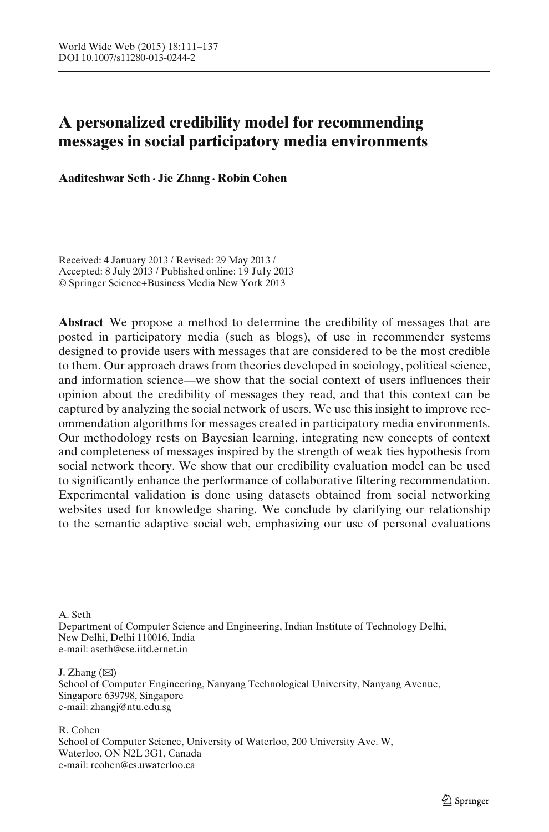# **A personalized credibility model for recommending messages in social participatory media environments**

**Aaditeshwar Seth · Jie Zhang · Robin Cohen**

Received: 4 January 2013 / Revised: 29 May 2013 / Accepted: 8 July 2013 / Published online: 19 July 2013© Springer Science+Business Media New York 2013

**Abstract** We propose a method to determine the credibility of messages that are posted in participatory media (such as blogs), of use in recommender systems designed to provide users with messages that are considered to be the most credible to them. Our approach draws from theories developed in sociology, political science, and information science—we show that the social context of users influences their opinion about the credibility of messages they read, and that this context can be captured by analyzing the social network of users. We use this insight to improve recommendation algorithms for messages created in participatory media environments. Our methodology rests on Bayesian learning, integrating new concepts of context and completeness of messages inspired by the strength of weak ties hypothesis from social network theory. We show that our credibility evaluation model can be used to significantly enhance the performance of collaborative filtering recommendation. Experimental validation is done using datasets obtained from social networking websites used for knowledge sharing. We conclude by clarifying our relationship to the semantic adaptive social web, emphasizing our use of personal evaluations

A. Seth

J. Zhang  $(\boxtimes)$ 

R. Cohen School of Computer Science, University of Waterloo, 200 University Ave. W, Waterloo, ON N2L 3G1, Canada e-mail: rcohen@cs.uwaterloo.ca

Department of Computer Science and Engineering, Indian Institute of Technology Delhi, New Delhi, Delhi 110016, India e-mail: aseth@cse.iitd.ernet.in

School of Computer Engineering, Nanyang Technological University, Nanyang Avenue, Singapore 639798, Singapore e-mail: zhangj@ntu.edu.sg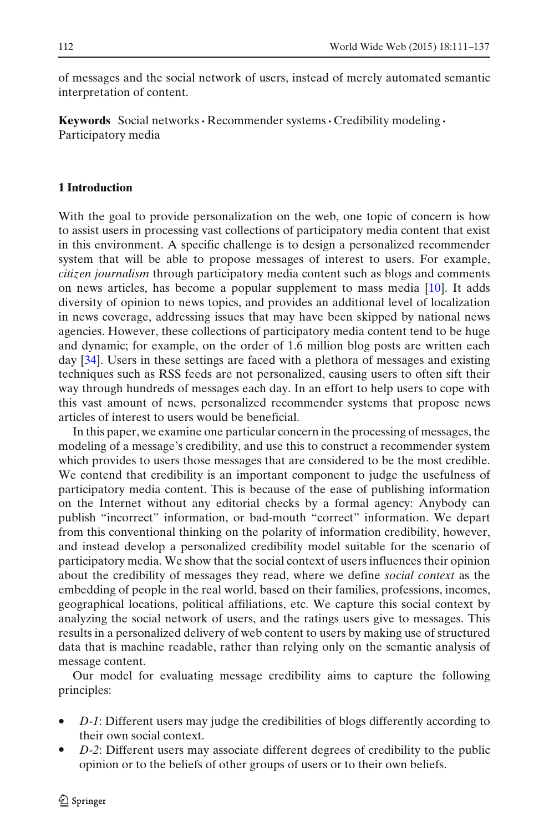<span id="page-1-0"></span>of messages and the social network of users, instead of merely automated semantic interpretation of content.

**Keywords** Social networks**·** Recommender systems**·** Credibility modeling **·** Participatory media

### **1 Introduction**

With the goal to provide personalization on the web, one topic of concern is how to assist users in processing vast collections of participatory media content that exist in this environment. A specific challenge is to design a personalized recommender system that will be able to propose messages of interest to users. For example, *citizen journalism* through participatory media content such as blogs and comments on news articles, has become a popular supplement to mass media [\[10\]](#page-25-0). It adds diversity of opinion to news topics, and provides an additional level of localization in news coverage, addressing issues that may have been skipped by national news agencies. However, these collections of participatory media content tend to be huge and dynamic; for example, on the order of 1.6 million blog posts are written each day [\[34](#page-26-0)]. Users in these settings are faced with a plethora of messages and existing techniques such as RSS feeds are not personalized, causing users to often sift their way through hundreds of messages each day. In an effort to help users to cope with this vast amount of news, personalized recommender systems that propose news articles of interest to users would be beneficial.

In this paper, we examine one particular concern in the processing of messages, the modeling of a message's credibility, and use this to construct a recommender system which provides to users those messages that are considered to be the most credible. We contend that credibility is an important component to judge the usefulness of participatory media content. This is because of the ease of publishing information on the Internet without any editorial checks by a formal agency: Anybody can publish "incorrect" information, or bad-mouth "correct" information. We depart from this conventional thinking on the polarity of information credibility, however, and instead develop a personalized credibility model suitable for the scenario of participatory media. We show that the social context of users influences their opinion about the credibility of messages they read, where we define *social context* as the embedding of people in the real world, based on their families, professions, incomes, geographical locations, political affiliations, etc. We capture this social context by analyzing the social network of users, and the ratings users give to messages. This results in a personalized delivery of web content to users by making use of structured data that is machine readable, rather than relying only on the semantic analysis of message content.

Our model for evaluating message credibility aims to capture the following principles:

- *D-1*: Different users may judge the credibilities of blogs differently according to their own social context.
- *D-2*: Different users may associate different degrees of credibility to the public opinion or to the beliefs of other groups of users or to their own beliefs.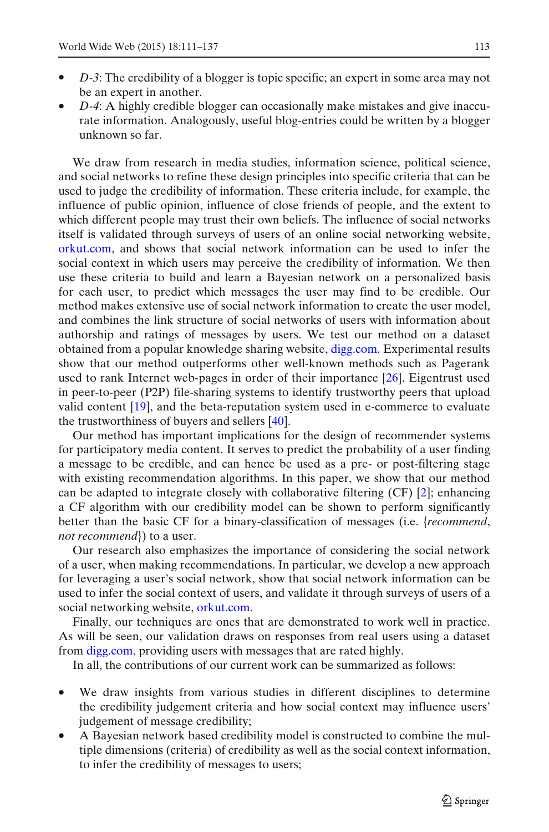- *D*-3: The credibility of a blogger is topic specific; an expert in some area may not be an expert in another.
- *D-4*: A highly credible blogger can occasionally make mistakes and give inaccurate information. Analogously, useful blog-entries could be written by a blogger unknown so far.

We draw from research in media studies, information science, political science, and social networks to refine these design principles into specific criteria that can be used to judge the credibility of information. These criteria include, for example, the influence of public opinion, influence of close friends of people, and the extent to which different people may trust their own beliefs. The influence of social networks itself is validated through surveys of users of an online social networking website, [orkut.com,](http://orkut.com) and shows that social network information can be used to infer the social context in which users may perceive the credibility of information. We then use these criteria to build and learn a Bayesian network on a personalized basis for each user, to predict which messages the user may find to be credible. Our method makes extensive use of social network information to create the user model, and combines the link structure of social networks of users with information about authorship and ratings of messages by users. We test our method on a dataset obtained from a popular knowledge sharing website, [digg.com.](http://digg.com) Experimental results show that our method outperforms other well-known methods such as Pagerank used to rank Internet web-pages in order of their importance [\[26\]](#page-26-0), Eigentrust used in peer-to-peer (P2P) file-sharing systems to identify trustworthy peers that upload valid content [\[19\]](#page-25-0), and the beta-reputation system used in e-commerce to evaluate the trustworthiness of buyers and sellers [\[40](#page-26-0)].

Our method has important implications for the design of recommender systems for participatory media content. It serves to predict the probability of a user finding a message to be credible, and can hence be used as a pre- or post-filtering stage with existing recommendation algorithms. In this paper, we show that our method can be adapted to integrate closely with collaborative filtering (CF) [\[2\]](#page-25-0); enhancing a CF algorithm with our credibility model can be shown to perform significantly better than the basic CF for a binary-classification of messages (i.e. {*recommend*, *not recommend*}) to a user.

Our research also emphasizes the importance of considering the social network of a user, when making recommendations. In particular, we develop a new approach for leveraging a user's social network, show that social network information can be used to infer the social context of users, and validate it through surveys of users of a social networking website, [orkut.com.](http://orkut.com)

Finally, our techniques are ones that are demonstrated to work well in practice. As will be seen, our validation draws on responses from real users using a dataset from [digg.com,](http://digg.com) providing users with messages that are rated highly.

In all, the contributions of our current work can be summarized as follows:

- We draw insights from various studies in different disciplines to determine the credibility judgement criteria and how social context may influence users' judgement of message credibility;
- A Bayesian network based credibility model is constructed to combine the multiple dimensions (criteria) of credibility as well as the social context information, to infer the credibility of messages to users;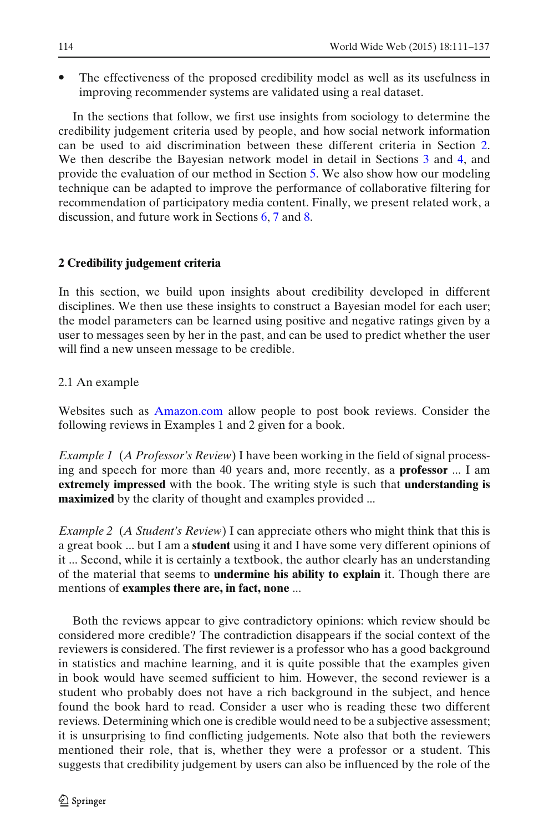• The effectiveness of the proposed credibility model as well as its usefulness in improving recommender systems are validated using a real dataset.

In the sections that follow, we first use insights from sociology to determine the credibility judgement criteria used by people, and how social network information can be used to aid discrimination between these different criteria in Section 2. We then describe the Bayesian network model in detail in Sections [3](#page-5-0) and [4,](#page-8-0) and provide the evaluation of our method in Section [5.](#page-13-0) We also show how our modeling technique can be adapted to improve the performance of collaborative filtering for recommendation of participatory media content. Finally, we present related work, a discussion, and future work in Sections [6,](#page-22-0) [7](#page-23-0) and [8.](#page-24-0)

## **2 Credibility judgement criteria**

In this section, we build upon insights about credibility developed in different disciplines. We then use these insights to construct a Bayesian model for each user; the model parameters can be learned using positive and negative ratings given by a user to messages seen by her in the past, and can be used to predict whether the user will find a new unseen message to be credible.

## 2.1 An example

Websites such as [Amazon.com](http://Amazon.com) allow people to post book reviews. Consider the following reviews in Examples 1 and 2 given for a book.

*Example 1* (*A Professor's Review*) I have been working in the field of signal processing and speech for more than 40 years and, more recently, as a **professor** ... I am **extremely impressed** with the book. The writing style is such that **understanding is maximized** by the clarity of thought and examples provided ...

*Example 2* (*A Student's Review*) I can appreciate others who might think that this is a great book ... but I am a **student** using it and I have some very different opinions of it ... Second, while it is certainly a textbook, the author clearly has an understanding of the material that seems to **undermine his ability to explain** it. Though there are mentions of **examples there are, in fact, none** ...

Both the reviews appear to give contradictory opinions: which review should be considered more credible? The contradiction disappears if the social context of the reviewers is considered. The first reviewer is a professor who has a good background in statistics and machine learning, and it is quite possible that the examples given in book would have seemed sufficient to him. However, the second reviewer is a student who probably does not have a rich background in the subject, and hence found the book hard to read. Consider a user who is reading these two different reviews. Determining which one is credible would need to be a subjective assessment; it is unsurprising to find conflicting judgements. Note also that both the reviewers mentioned their role, that is, whether they were a professor or a student. This suggests that credibility judgement by users can also be influenced by the role of the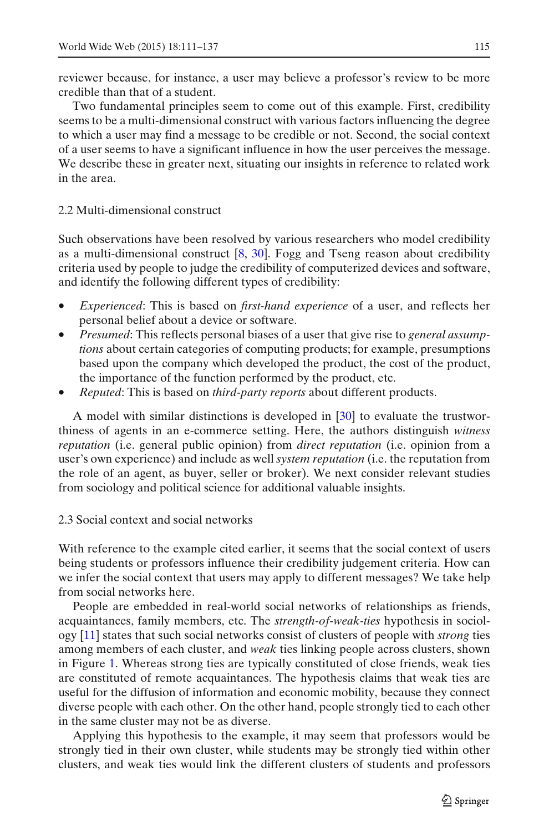<span id="page-4-0"></span>reviewer because, for instance, a user may believe a professor's review to be more credible than that of a student.

Two fundamental principles seem to come out of this example. First, credibility seems to be a multi-dimensional construct with various factors influencing the degree to which a user may find a message to be credible or not. Second, the social context of a user seems to have a significant influence in how the user perceives the message. We describe these in greater next, situating our insights in reference to related work in the area.

### 2.2 Multi-dimensional construct

Such observations have been resolved by various researchers who model credibility as a multi-dimensional construct  $[8, 30]$  $[8, 30]$  $[8, 30]$  $[8, 30]$ . Fogg and Tseng reason about credibility criteria used by people to judge the credibility of computerized devices and software, and identify the following different types of credibility:

- *Experienced*: This is based on *first-hand experience* of a user, and reflects her personal belief about a device or software.
- *Presumed*: This reflects personal biases of a user that give rise to *general assumptions* about certain categories of computing products; for example, presumptions based upon the company which developed the product, the cost of the product, the importance of the function performed by the product, etc.
- *Reputed*: This is based on *third-party reports* about different products.

A model with similar distinctions is developed in [\[30](#page-26-0)] to evaluate the trustworthiness of agents in an e-commerce setting. Here, the authors distinguish *witness reputation* (i.e. general public opinion) from *direct reputation* (i.e. opinion from a user's own experience) and include as well *system reputation* (i.e. the reputation from the role of an agent, as buyer, seller or broker). We next consider relevant studies from sociology and political science for additional valuable insights.

### 2.3 Social context and social networks

With reference to the example cited earlier, it seems that the social context of users being students or professors influence their credibility judgement criteria. How can we infer the social context that users may apply to different messages? We take help from social networks here.

People are embedded in real-world social networks of relationships as friends, acquaintances, family members, etc. The *strength-of-weak-ties* hypothesis in sociology [\[11\]](#page-25-0) states that such social networks consist of clusters of people with *strong* ties among members of each cluster, and *weak* ties linking people across clusters, shown in Figure [1.](#page-5-0) Whereas strong ties are typically constituted of close friends, weak ties are constituted of remote acquaintances. The hypothesis claims that weak ties are useful for the diffusion of information and economic mobility, because they connect diverse people with each other. On the other hand, people strongly tied to each other in the same cluster may not be as diverse.

Applying this hypothesis to the example, it may seem that professors would be strongly tied in their own cluster, while students may be strongly tied within other clusters, and weak ties would link the different clusters of students and professors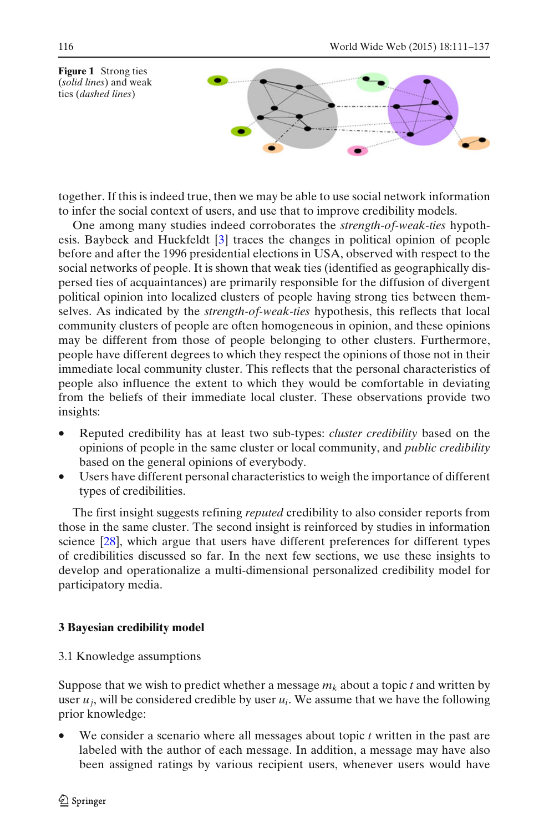<span id="page-5-0"></span>

together. If this is indeed true, then we may be able to use social network information to infer the social context of users, and use that to improve credibility models.

One among many studies indeed corroborates the *strength-of-weak-ties* hypothesis. Baybeck and Huckfeldt [\[3\]](#page-25-0) traces the changes in political opinion of people before and after the 1996 presidential elections in USA, observed with respect to the social networks of people. It is shown that weak ties (identified as geographically dispersed ties of acquaintances) are primarily responsible for the diffusion of divergent political opinion into localized clusters of people having strong ties between themselves. As indicated by the *strength-of-weak-ties* hypothesis, this reflects that local community clusters of people are often homogeneous in opinion, and these opinions may be different from those of people belonging to other clusters. Furthermore, people have different degrees to which they respect the opinions of those not in their immediate local community cluster. This reflects that the personal characteristics of people also influence the extent to which they would be comfortable in deviating from the beliefs of their immediate local cluster. These observations provide two insights:

- Reputed credibility has at least two sub-types: *cluster credibility* based on the opinions of people in the same cluster or local community, and *public credibility* based on the general opinions of everybody.
- Users have different personal characteristics to weigh the importance of different types of credibilities.

The first insight suggests refining *reputed* credibility to also consider reports from those in the same cluster. The second insight is reinforced by studies in information science [\[28\]](#page-26-0), which argue that users have different preferences for different types of credibilities discussed so far. In the next few sections, we use these insights to develop and operationalize a multi-dimensional personalized credibility model for participatory media.

## **3 Bayesian credibility model**

## 3.1 Knowledge assumptions

Suppose that we wish to predict whether a message  $m_k$  about a topic  $t$  and written by user  $u_i$ , will be considered credible by user  $u_i$ . We assume that we have the following prior knowledge:

We consider a scenario where all messages about topic *t* written in the past are labeled with the author of each message. In addition, a message may have also been assigned ratings by various recipient users, whenever users would have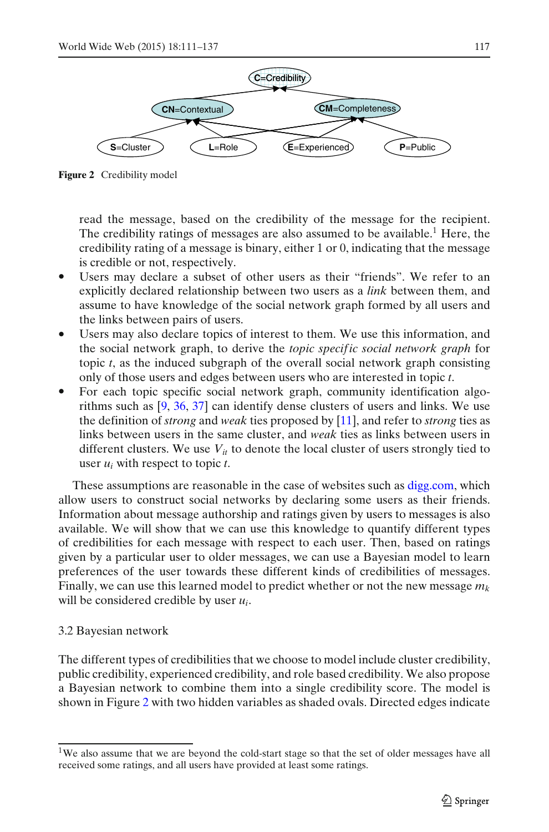<span id="page-6-0"></span>

**Figure 2** Credibility model

read the message, based on the credibility of the message for the recipient. The credibility ratings of messages are also assumed to be available.<sup>1</sup> Here, the credibility rating of a message is binary, either 1 or 0, indicating that the message is credible or not, respectively.

- Users may declare a subset of other users as their "friends". We refer to an explicitly declared relationship between two users as a *link* between them, and assume to have knowledge of the social network graph formed by all users and the links between pairs of users.
- Users may also declare topics of interest to them. We use this information, and the social network graph, to derive the *topic specif ic social network graph* for topic *t*, as the induced subgraph of the overall social network graph consisting only of those users and edges between users who are interested in topic *t*.
- For each topic specific social network graph, community identification algorithms such as [\[9,](#page-25-0) [36,](#page-26-0) [37\]](#page-26-0) can identify dense clusters of users and links. We use the definition of *strong* and *weak* ties proposed by [\[11](#page-25-0)], and refer to *strong* ties as links between users in the same cluster, and *weak* ties as links between users in different clusters. We use  $V_{it}$  to denote the local cluster of users strongly tied to user *ui* with respect to topic *t*.

These assumptions are reasonable in the case of websites such as [digg.com,](http://digg.com) which allow users to construct social networks by declaring some users as their friends. Information about message authorship and ratings given by users to messages is also available. We will show that we can use this knowledge to quantify different types of credibilities for each message with respect to each user. Then, based on ratings given by a particular user to older messages, we can use a Bayesian model to learn preferences of the user towards these different kinds of credibilities of messages. Finally, we can use this learned model to predict whether or not the new message *mk* will be considered credible by user *ui*.

### 3.2 Bayesian network

The different types of credibilities that we choose to model include cluster credibility, public credibility, experienced credibility, and role based credibility. We also propose a Bayesian network to combine them into a single credibility score. The model is shown in Figure 2 with two hidden variables as shaded ovals. Directed edges indicate

<sup>&</sup>lt;sup>1</sup>We also assume that we are beyond the cold-start stage so that the set of older messages have all received some ratings, and all users have provided at least some ratings.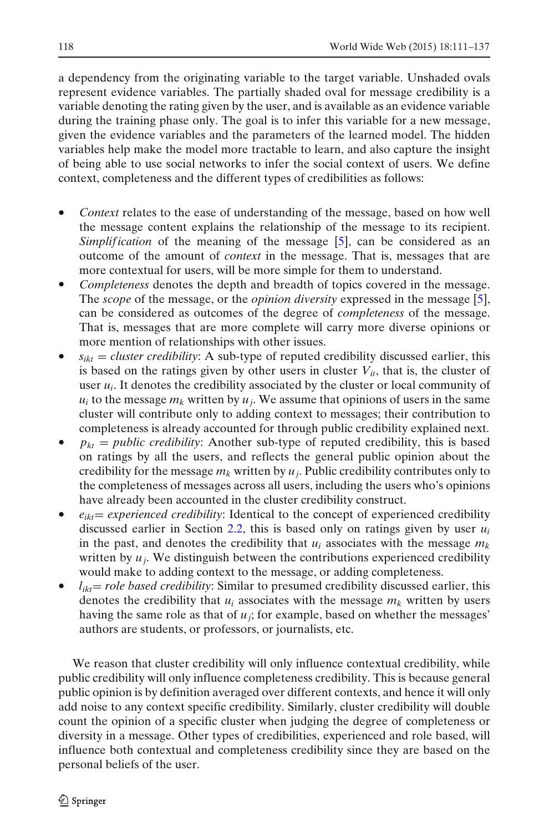a dependency from the originating variable to the target variable. Unshaded ovals represent evidence variables. The partially shaded oval for message credibility is a variable denoting the rating given by the user, and is available as an evidence variable during the training phase only. The goal is to infer this variable for a new message, given the evidence variables and the parameters of the learned model. The hidden variables help make the model more tractable to learn, and also capture the insight of being able to use social networks to infer the social context of users. We define context, completeness and the different types of credibilities as follows:

- *Context* relates to the ease of understanding of the message, based on how well the message content explains the relationship of the message to its recipient. *Simplification* of the meaning of the message [\[5\]](#page-25-0), can be considered as an outcome of the amount of *context* in the message. That is, messages that are more contextual for users, will be more simple for them to understand.
- *Completeness* denotes the depth and breadth of topics covered in the message. The *scope* of the message, or the *opinion diversity* expressed in the message [\[5](#page-25-0)], can be considered as outcomes of the degree of *completeness* of the message. That is, messages that are more complete will carry more diverse opinions or more mention of relationships with other issues.
- $s_{ikt}$  = *cluster credibility*: A sub-type of reputed credibility discussed earlier, this is based on the ratings given by other users in cluster  $V_{it}$ , that is, the cluster of user *ui*. It denotes the credibility associated by the cluster or local community of  $u_i$  to the message  $m_k$  written by  $u_j$ . We assume that opinions of users in the same cluster will contribute only to adding context to messages; their contribution to completeness is already accounted for through public credibility explained next.
- $p_{kt} = public creditibility$ : Another sub-type of reputed credibility, this is based on ratings by all the users, and reflects the general public opinion about the credibility for the message  $m_k$  written by  $u_j$ . Public credibility contributes only to the completeness of messages across all users, including the users who's opinions have already been accounted in the cluster credibility construct.
- $e_{ikt}$ = *experienced credibility*: Identical to the concept of experienced credibility discussed earlier in Section [2.2,](#page-4-0) this is based only on ratings given by user *ui* in the past, and denotes the credibility that  $u_i$  associates with the message  $m_k$ written by  $u_i$ . We distinguish between the contributions experienced credibility would make to adding context to the message, or adding completeness.
- $l_{ikt}$  *= role based credibility*: Similar to presumed credibility discussed earlier, this denotes the credibility that  $u_i$  associates with the message  $m_k$  written by users having the same role as that of  $u_i$ ; for example, based on whether the messages' authors are students, or professors, or journalists, etc.

We reason that cluster credibility will only influence contextual credibility, while public credibility will only influence completeness credibility. This is because general public opinion is by definition averaged over different contexts, and hence it will only add noise to any context specific credibility. Similarly, cluster credibility will double count the opinion of a specific cluster when judging the degree of completeness or diversity in a message. Other types of credibilities, experienced and role based, will influence both contextual and completeness credibility since they are based on the personal beliefs of the user.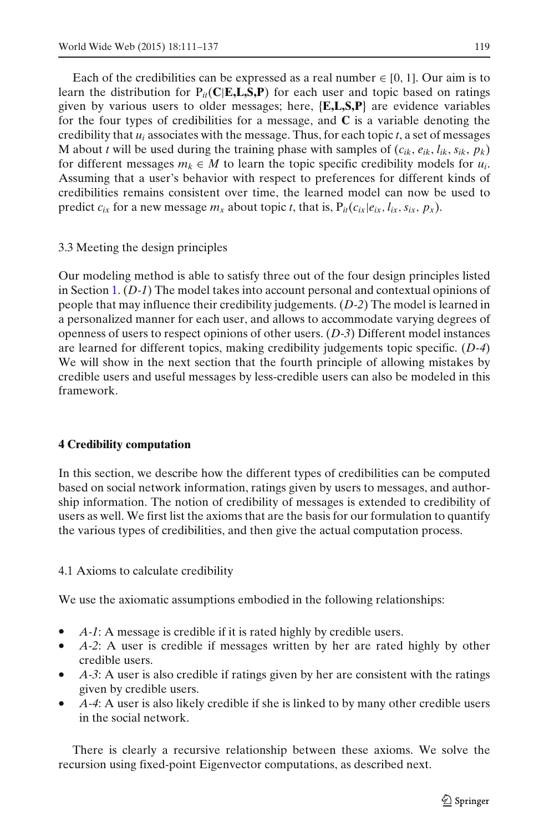<span id="page-8-0"></span>Each of the credibilities can be expressed as a real number  $\in [0, 1]$ . Our aim is to learn the distribution for  $P_i(C|E,L,S,P)$  for each user and topic based on ratings given by various users to older messages; here, {**E,L,S,P**} are evidence variables for the four types of credibilities for a message, and **C** is a variable denoting the credibility that *ui* associates with the message. Thus, for each topic *t*, a set of messages M about *t* will be used during the training phase with samples of  $(c_{ik}, e_{ik}, l_{ik}, s_{ik}, p_k)$ for different messages  $m_k \\in M$  to learn the topic specific credibility models for  $u_i$ . Assuming that a user's behavior with respect to preferences for different kinds of credibilities remains consistent over time, the learned model can now be used to predict  $c_{ix}$  for a new message  $m_x$  about topic *t*, that is,  $P_{it}(c_{ix}|e_{ix}, l_{ix}, s_{ix}, p_x)$ .

## 3.3 Meeting the design principles

Our modeling method is able to satisfy three out of the four design principles listed in Section [1.](#page-1-0) (*D-1*) The model takes into account personal and contextual opinions of people that may influence their credibility judgements. (*D-2*) The model is learned in a personalized manner for each user, and allows to accommodate varying degrees of openness of users to respect opinions of other users. (*D-3*) Different model instances are learned for different topics, making credibility judgements topic specific. (*D-4*) We will show in the next section that the fourth principle of allowing mistakes by credible users and useful messages by less-credible users can also be modeled in this framework.

### **4 Credibility computation**

In this section, we describe how the different types of credibilities can be computed based on social network information, ratings given by users to messages, and authorship information. The notion of credibility of messages is extended to credibility of users as well. We first list the axioms that are the basis for our formulation to quantify the various types of credibilities, and then give the actual computation process.

## 4.1 Axioms to calculate credibility

We use the axiomatic assumptions embodied in the following relationships:

- *A-1*: A message is credible if it is rated highly by credible users.
- *A-2*: A user is credible if messages written by her are rated highly by other credible users.
- *A-3*: A user is also credible if ratings given by her are consistent with the ratings given by credible users.
- *A-4*: A user is also likely credible if she is linked to by many other credible users in the social network.

There is clearly a recursive relationship between these axioms. We solve the recursion using fixed-point Eigenvector computations, as described next.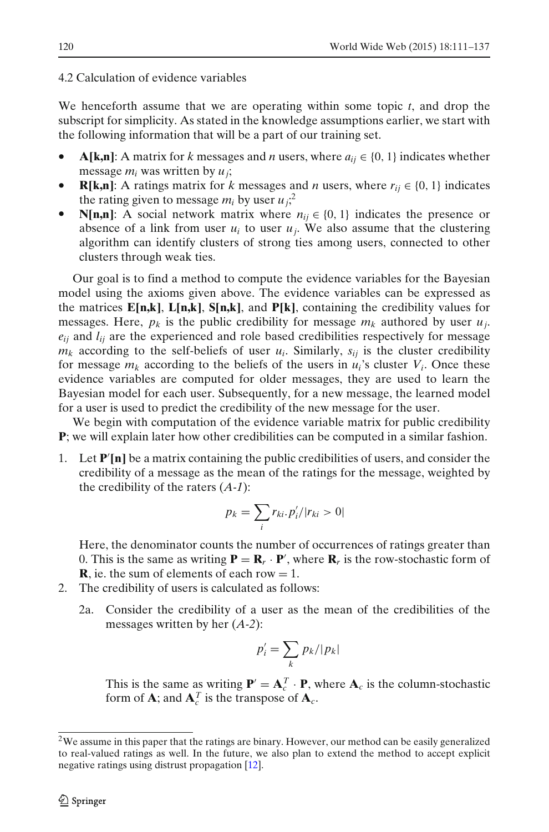### 4.2 Calculation of evidence variables

We henceforth assume that we are operating within some topic *t*, and drop the subscript for simplicity. As stated in the knowledge assumptions earlier, we start with the following information that will be a part of our training set.

- **A[k,n]**: A matrix for *k* messages and *n* users, where  $a_{ij} \in \{0, 1\}$  indicates whether message *mi* was written by *uj*;
- **R[k,n]**: A ratings matrix for *k* messages and *n* users, where  $r_{ii} \in \{0, 1\}$  indicates the rating given to message  $m_i$  by user  $u_j$ <sup>2</sup>
- **N[n,n]**: A social network matrix where  $n_{ij} \in \{0, 1\}$  indicates the presence or absence of a link from user  $u_i$  to user  $u_j$ . We also assume that the clustering algorithm can identify clusters of strong ties among users, connected to other clusters through weak ties.

Our goal is to find a method to compute the evidence variables for the Bayesian model using the axioms given above. The evidence variables can be expressed as the matrices **E[n,k]**, **L[n,k]**, **S[n,k]**, and **P[k]**, containing the credibility values for messages. Here,  $p_k$  is the public credibility for message  $m_k$  authored by user  $u_i$ .  $e_{ij}$  and  $l_{ij}$  are the experienced and role based credibilities respectively for message  $m_k$  according to the self-beliefs of user  $u_i$ . Similarly,  $s_{ij}$  is the cluster credibility for message  $m_k$  according to the beliefs of the users in  $u_i$ 's cluster  $V_i$ . Once these evidence variables are computed for older messages, they are used to learn the Bayesian model for each user. Subsequently, for a new message, the learned model for a user is used to predict the credibility of the new message for the user.

We begin with computation of the evidence variable matrix for public credibility **P**; we will explain later how other credibilities can be computed in a similar fashion.

1. Let **P [n]** be a matrix containing the public credibilities of users, and consider the credibility of a message as the mean of the ratings for the message, weighted by the credibility of the raters (*A-1*):

$$
p_k = \sum_i r_{ki} \cdot p'_i / |r_{ki} > 0|
$$

Here, the denominator counts the number of occurrences of ratings greater than 0. This is the same as writing  $P = R_r \cdot P'$ , where  $R_r$  is the row-stochastic form of **R**, ie. the sum of elements of each row  $= 1$ .

- 2. The credibility of users is calculated as follows:
	- 2a. Consider the credibility of a user as the mean of the credibilities of the messages written by her (*A-2*):

$$
p_i' = \sum_k p_k / |p_k|
$$

This is the same as writing  $P' = A_c^T \cdot P$ , where  $A_c$  is the column-stochastic form of **A**; and  $A_c^T$  is the transpose of  $A_c$ .

 $2$ We assume in this paper that the ratings are binary. However, our method can be easily generalized to real-valued ratings as well. In the future, we also plan to extend the method to accept explicit negative ratings using distrust propagation [\[12\]](#page-25-0).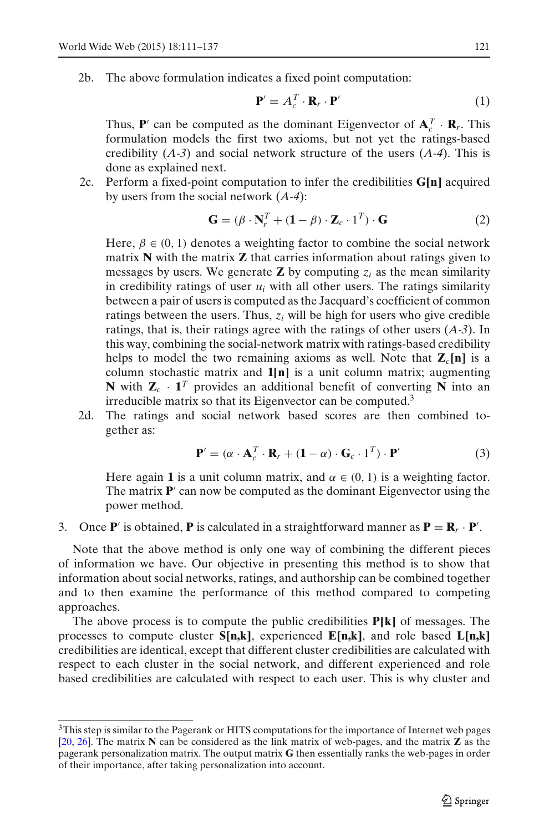<span id="page-10-0"></span>2b. The above formulation indicates a fixed point computation:

$$
\mathbf{P}' = A_c^T \cdot \mathbf{R}_r \cdot \mathbf{P}' \tag{1}
$$

Thus, **P**' can be computed as the dominant Eigenvector of  $A_c^T \cdot R_r$ . This formulation models the first two axioms, but not yet the ratings-based credibility (*A-3*) and social network structure of the users (*A-4*). This is done as explained next.

2c. Perform a fixed-point computation to infer the credibilities **G[n]** acquired by users from the social network (*A-4*):

$$
\mathbf{G} = (\beta \cdot \mathbf{N}_r^T + (\mathbf{1} - \beta) \cdot \mathbf{Z}_c \cdot \mathbf{1}^T) \cdot \mathbf{G}
$$
 (2)

Here,  $\beta \in (0, 1)$  denotes a weighting factor to combine the social network matrix **N** with the matrix **Z** that carries information about ratings given to messages by users. We generate **Z** by computing  $z_i$  as the mean similarity in credibility ratings of user  $u_i$  with all other users. The ratings similarity between a pair of users is computed as the Jacquard's coefficient of common ratings between the users. Thus, *zi* will be high for users who give credible ratings, that is, their ratings agree with the ratings of other users (*A-3*). In this way, combining the social-network matrix with ratings-based credibility helps to model the two remaining axioms as well. Note that  $\mathbf{Z}_c[\mathbf{n}]$  is a column stochastic matrix and **1[n]** is a unit column matrix; augmenting **N** with  $\mathbf{Z}_c \cdot \mathbf{1}^T$  provides an additional benefit of converting  $\tilde{\mathbf{N}}$  into an irreducible matrix so that its Eigenvector can be computed. $3$ 

2d. The ratings and social network based scores are then combined together as:

$$
\mathbf{P}' = (\alpha \cdot \mathbf{A}_c^T \cdot \mathbf{R}_r + (1 - \alpha) \cdot \mathbf{G}_c \cdot 1^T) \cdot \mathbf{P}'
$$
 (3)

Here again **1** is a unit column matrix, and  $\alpha \in (0, 1)$  is a weighting factor. The matrix  $P'$  can now be computed as the dominant Eigenvector using the power method.

## 3. Once  $P'$  is obtained,  $P$  is calculated in a straightforward manner as  $P = R_r \cdot P'$ .

Note that the above method is only one way of combining the different pieces of information we have. Our objective in presenting this method is to show that information about social networks, ratings, and authorship can be combined together and to then examine the performance of this method compared to competing approaches.

The above process is to compute the public credibilities **P[k]** of messages. The processes to compute cluster **S[n,k]**, experienced **E[n,k]**, and role based **L[n,k]** credibilities are identical, except that different cluster credibilities are calculated with respect to each cluster in the social network, and different experienced and role based credibilities are calculated with respect to each user. This is why cluster and

<sup>&</sup>lt;sup>3</sup>This step is similar to the Pagerank or HITS computations for the importance of Internet web pages [\[20](#page-25-0), [26](#page-26-0)]. The matrix **N** can be considered as the link matrix of web-pages, and the matrix **Z** as the pagerank personalization matrix. The output matrix **G** then essentially ranks the web-pages in order of their importance, after taking personalization into account.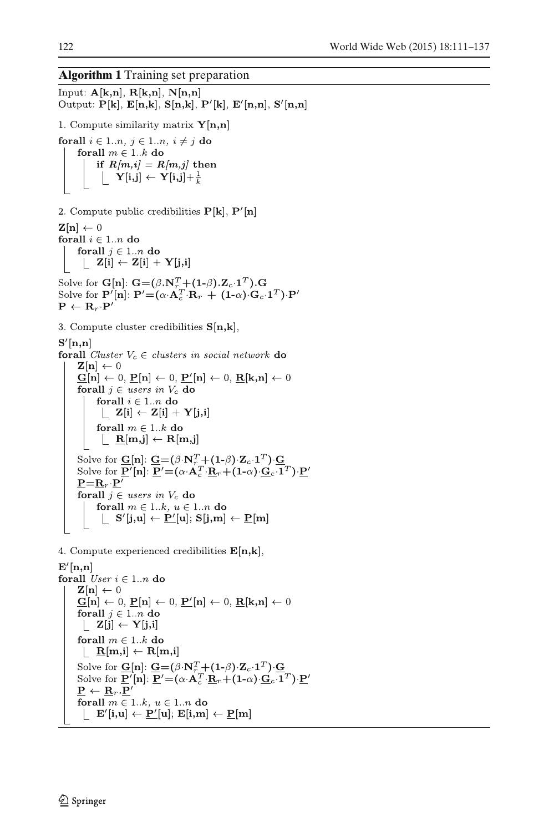### **Algorithm 1** Training set preparation

Input:  $A[k,n], R[k,n], N[n,n]$ Output:  $P[k]$ ,  $E[n,k]$ ,  $S[n,k]$ ,  $P'[k]$ ,  $E'[n,n]$ ,  $S'[n,n]$ 1. Compute similarity matrix  ${\bf Y}[{\bf n},{\bf n}]$ forall  $i \in 1..n, j \in 1..n, i \neq j$  do forall  $m \in 1..k$  do if  $R[m,i] = R[m,j]$  then  $\mathbf{Y}[\mathbf{i},\mathbf{j}] \leftarrow \mathbf{Y}[\mathbf{i},\mathbf{j}] \mathbf{+} \frac{1}{k}$ 2. Compute public credibilities  $P[k], P'[n]$  $\mathbf{Z}[\mathbf{n}] \leftarrow 0$ forall  $i \in 1..n$  do forall  $j \in 1..n$  do  $|Z[i] \leftarrow Z[i] + Y[j,i]$ Solve for  $\mathbf{G}[\mathbf{n}]$ :  $\mathbf{G} = (\beta \cdot \mathbf{N}_r^T + (\mathbf{1} - \beta) \cdot \mathbf{Z}_c \cdot \mathbf{1}^T) \cdot \mathbf{G}$ Solve for  $\mathbf{P}'[\mathbf{n}]$ :  $\mathbf{P}' = (\alpha \cdot \mathbf{A}_c^T \cdot \mathbf{R}_r + (\mathbf{1}-\alpha) \cdot \mathbf{G}_c \cdot \mathbf{1}^T) \cdot \mathbf{P}'$  $\mathbf{P} \leftarrow \mathbf{R}_r \cdot \mathbf{P}'$ 3. Compute cluster credibilities  $S[n,k]$ ,  $S'[n,n]$ **forall** Cluster  $V_c \in$  clusters in social network **do**  $\mathbf{Z}[\mathbf{n}] \leftarrow 0$  $\mathbf{G}[\mathbf{n}] \leftarrow 0, \mathbf{P}[\mathbf{n}] \leftarrow 0, \mathbf{P}'[\mathbf{n}] \leftarrow 0, \mathbf{R}[\mathbf{k}, \mathbf{n}] \leftarrow 0$ forall  $j \in users$  in  $V_c$  do for<br>all  $i\in 1..n$  do  $\vert Z[i] \leftarrow Z[i] + Y[j,i]$ for<br>all  $m\in 1..k$  do  $|\quad \mathbf{R}[\text{m,j}]\leftarrow \mathbf{R}[\text{m,j}]$ Solve for  $\mathbf{G}[\mathbf{n}]$ :  $\mathbf{G} = (\beta \cdot \mathbf{N}_{r}^{T} + (1-\beta) \cdot \mathbf{Z}_{c} \cdot \mathbf{1}^{T}) \cdot \mathbf{G}$ Solve for  $\underline{\mathbf{P}}'[\mathbf{n}]$ :  $\underline{\mathbf{P}}' = (\alpha \cdot \mathbf{A}_c^T \cdot \underline{\mathbf{R}}_r + (1-\alpha) \cdot \underline{\mathbf{G}}_c \cdot \overline{\mathbf{1}}^T) \cdot \underline{\mathbf{P}}'$  $\underline{\mathbf{P}} = \underline{\mathbf{R}}_r \cdot \underline{\mathbf{P}}$ forall  $j \in users$  in  $V_c$  do forall  $m \in 1..k, u \in 1..n$  do  $\left[\begin{array}{c} \mathrm{S}'[\mathrm{j},\mathrm{u}] \leftarrow \mathrm{P}'[\mathrm{u}]; \, \mathrm{S}[\mathrm{j},\mathrm{m}] \leftarrow \mathrm{P}[\mathrm{m}] \end{array}\right]$ 4. Compute experienced credibilities  $E[n,k]$ ,

 $E'[n,n]$ forall  $User i \in 1..n$  do  $\mathbf{Z}[\mathbf{n}] \leftarrow 0$  $\mathbf{G}[\mathbf{n}] \leftarrow 0, \mathbf{P}[\mathbf{n}] \leftarrow 0, \mathbf{P}'[\mathbf{n}] \leftarrow 0, \mathbf{R}[\mathbf{k}, \mathbf{n}] \leftarrow 0$ forall  $j \in 1..n$  do  $\left[\begin{array}{c} \mathbf{Z}[\mathbf{j}] \leftarrow \mathbf{Y}[\mathbf{j},\mathbf{i}] \end{array}\right]$ forall  $m \in 1..k$  do Solve for  $\mathbf{G}[\mathbf{n}]: \mathbf{G} = (\beta \cdot \mathbf{N}_r^T + (\mathbf{1} - \beta) \cdot \mathbf{Z}_c \cdot \mathbf{1}^T) \cdot \mathbf{G}$ Solve for  $\overline{\mathbf{P}}'[\mathbf{n}]$ :  $\overline{\mathbf{P}}' = (\alpha \cdot \mathbf{A}_c^T \cdot \mathbf{R}_r + (\mathbf{1} - \alpha) \cdot \mathbf{G}_c \cdot \mathbf{I}^T) \cdot \mathbf{P}'$  $\underline{\mathbf{P}} \leftarrow \underline{\mathbf{R}}_r . \underline{\mathbf{P}}'$ forall  $m \in 1..k, u \in 1..n$  do  $|\quad \mathbf{E}'[\mathbf{i}, \mathbf{u}] \leftarrow \mathbf{P}'[\mathbf{u}]; \, \mathbf{E}[\mathbf{i}, \mathbf{m}] \leftarrow \mathbf{P}[\mathbf{m}]$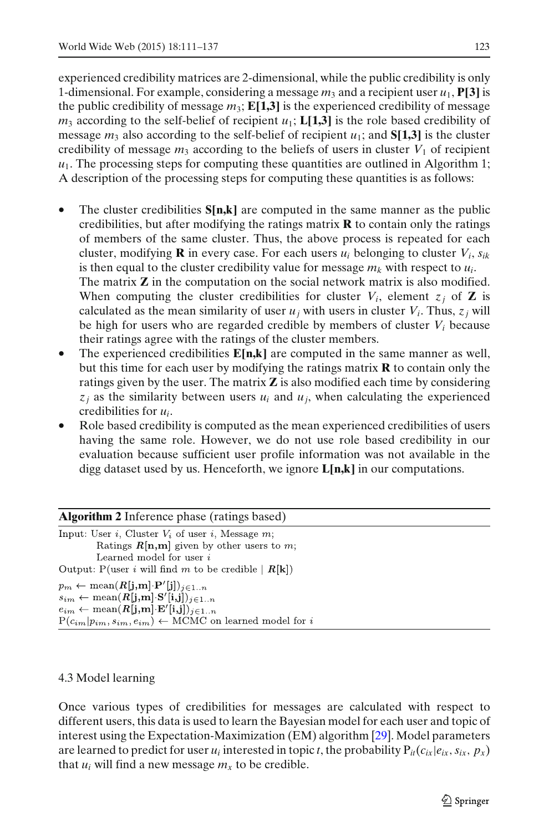experienced credibility matrices are 2-dimensional, while the public credibility is only 1-dimensional. For example, considering a message  $m_3$  and a recipient user  $u_1$ ,  $P[3]$  is the public credibility of message  $m_3$ ;  $E[1,3]$  is the experienced credibility of message  $m_3$  according to the self-belief of recipient  $u_1$ ; **L[1,3]** is the role based credibility of message  $m_3$  also according to the self-belief of recipient  $u_1$ ; and **S[1,3]** is the cluster credibility of message  $m_3$  according to the beliefs of users in cluster  $V_1$  of recipient  $u_1$ . The processing steps for computing these quantities are outlined in Algorithm 1; A description of the processing steps for computing these quantities is as follows:

- The cluster credibilities  $S[n,k]$  are computed in the same manner as the public credibilities, but after modifying the ratings matrix **R** to contain only the ratings of members of the same cluster. Thus, the above process is repeated for each cluster, modifying **R** in every case. For each users  $u_i$  belonging to cluster  $V_i$ ,  $s_{ik}$ is then equal to the cluster credibility value for message  $m_k$  with respect to  $u_i$ . The matrix **Z** in the computation on the social network matrix is also modified. When computing the cluster credibilities for cluster  $V_i$ , element  $z_i$  of **Z** is calculated as the mean similarity of user  $u_j$  with users in cluster  $V_i$ . Thus,  $z_j$  will be high for users who are regarded credible by members of cluster  $V_i$  because their ratings agree with the ratings of the cluster members.
- The experienced credibilities  $E[n,k]$  are computed in the same manner as well, but this time for each user by modifying the ratings matrix **R** to contain only the ratings given by the user. The matrix **Z** is also modified each time by considering  $z_i$  as the similarity between users  $u_i$  and  $u_j$ , when calculating the experienced credibilities for *ui*.
- Role based credibility is computed as the mean experienced credibilities of users having the same role. However, we do not use role based credibility in our evaluation because sufficient user profile information was not available in the digg dataset used by us. Henceforth, we ignore **L[n,k]** in our computations.

| <b>Algorithm 2</b> Inference phase (ratings based)                                                                       |  |  |  |  |
|--------------------------------------------------------------------------------------------------------------------------|--|--|--|--|
| Input: User <i>i</i> , Cluster $V_i$ of user <i>i</i> , Message <i>m</i> ;                                               |  |  |  |  |
| Ratings $R[n,m]$ given by other users to m;                                                                              |  |  |  |  |
| Learned model for user i                                                                                                 |  |  |  |  |
| Output: P(user <i>i</i> will find <i>m</i> to be credible $\mid R[k]\rangle$                                             |  |  |  |  |
| $p_m \leftarrow \text{mean}(\mathbf{R}[\mathbf{j},\mathbf{m}] \cdot \mathbf{P}'[\mathbf{j}])_{i \in 1n}$                 |  |  |  |  |
| $s_{im} \leftarrow \text{mean}(R[\mathbf{j},\mathbf{m}] \cdot \mathbf{S}'[\mathbf{i},\mathbf{j}])_{j \in 1n}$            |  |  |  |  |
| $e_{im} \leftarrow \text{mean}(\boldsymbol{R}[\mathbf{j},\mathbf{m}]\cdot \mathbf{E}'[\mathbf{i},\mathbf{j}])_{i\in 1n}$ |  |  |  |  |
| $P(c_{im} p_{im}, s_{im}, e_{im}) \leftarrow MCMC$ on learned model for i                                                |  |  |  |  |

## 4.3 Model learning

Once various types of credibilities for messages are calculated with respect to different users, this data is used to learn the Bayesian model for each user and topic of interest using the Expectation-Maximization (EM) algorithm [\[29](#page-26-0)]. Model parameters are learned to predict for user  $u_i$  interested in topic t, the probability  $P_{it}(c_{ix}|e_{ix}, s_{ix}, p_x)$ that  $u_i$  will find a new message  $m_x$  to be credible.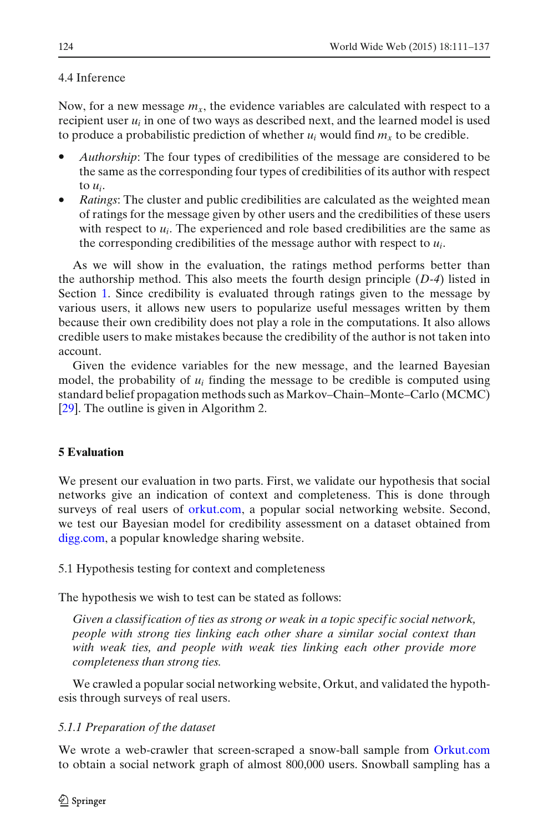## <span id="page-13-0"></span>4.4 Inference

Now, for a new message  $m<sub>x</sub>$ , the evidence variables are calculated with respect to a recipient user *ui* in one of two ways as described next, and the learned model is used to produce a probabilistic prediction of whether  $u_i$  would find  $m_x$  to be credible.

- *Authorship*: The four types of credibilities of the message are considered to be the same as the corresponding four types of credibilities of its author with respect to *ui*.
- *Ratings*: The cluster and public credibilities are calculated as the weighted mean of ratings for the message given by other users and the credibilities of these users with respect to  $u_i$ . The experienced and role based credibilities are the same as the corresponding credibilities of the message author with respect to *ui*.

As we will show in the evaluation, the ratings method performs better than the authorship method. This also meets the fourth design principle (*D-4*) listed in Section [1.](#page-1-0) Since credibility is evaluated through ratings given to the message by various users, it allows new users to popularize useful messages written by them because their own credibility does not play a role in the computations. It also allows credible users to make mistakes because the credibility of the author is not taken into account.

Given the evidence variables for the new message, and the learned Bayesian model, the probability of  $u_i$  finding the message to be credible is computed using standard belief propagation methods such as Markov–Chain–Monte–Carlo (MCMC) [\[29](#page-26-0)]. The outline is given in Algorithm 2.

## **5 Evaluation**

We present our evaluation in two parts. First, we validate our hypothesis that social networks give an indication of context and completeness. This is done through surveys of real users of [orkut.com,](http://orkut.com) a popular social networking website. Second, we test our Bayesian model for credibility assessment on a dataset obtained from [digg.com,](http://digg.com) a popular knowledge sharing website.

## 5.1 Hypothesis testing for context and completeness

The hypothesis we wish to test can be stated as follows:

*Given a classif ication of ties as strong or weak in a topic specif ic social network, people with strong ties linking each other share a similar social context than with weak ties, and people with weak ties linking each other provide more completeness than strong ties.*

We crawled a popular social networking website, Orkut, and validated the hypothesis through surveys of real users.

## *5.1.1 Preparation of the dataset*

We wrote a web-crawler that screen-scraped a snow-ball sample from [Orkut.com](http://Orkut.com) to obtain a social network graph of almost 800,000 users. Snowball sampling has a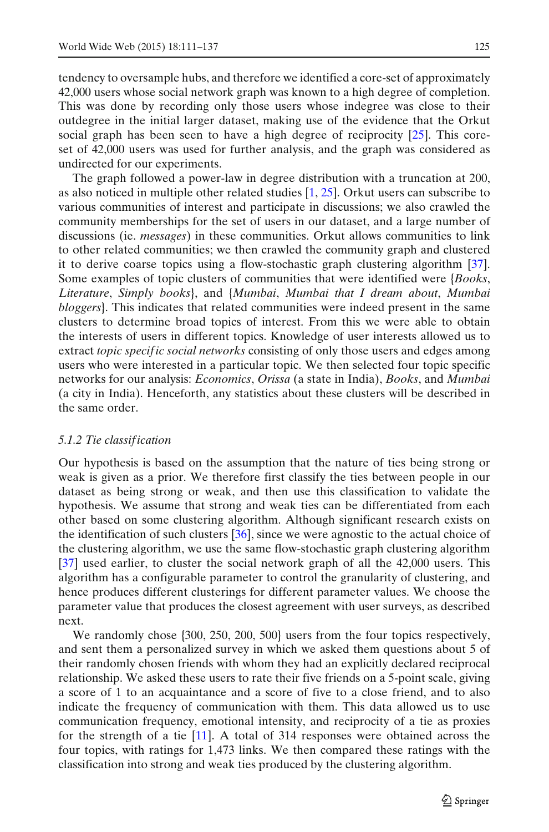tendency to oversample hubs, and therefore we identified a core-set of approximately 42,000 users whose social network graph was known to a high degree of completion. This was done by recording only those users whose indegree was close to their outdegree in the initial larger dataset, making use of the evidence that the Orkut social graph has been seen to have a high degree of reciprocity [\[25\]](#page-26-0). This coreset of 42,000 users was used for further analysis, and the graph was considered as undirected for our experiments.

The graph followed a power-law in degree distribution with a truncation at 200, as also noticed in multiple other related studies  $[1, 25]$  $[1, 25]$  $[1, 25]$ . Orkut users can subscribe to various communities of interest and participate in discussions; we also crawled the community memberships for the set of users in our dataset, and a large number of discussions (ie. *messages*) in these communities. Orkut allows communities to link to other related communities; we then crawled the community graph and clustered it to derive coarse topics using a flow-stochastic graph clustering algorithm [\[37](#page-26-0)]. Some examples of topic clusters of communities that were identified were {*Books*, *Literature*, *Simply books*}, and {*Mumbai*, *Mumbai that I dream about*, *Mumbai bloggers*}. This indicates that related communities were indeed present in the same clusters to determine broad topics of interest. From this we were able to obtain the interests of users in different topics. Knowledge of user interests allowed us to extract *topic specif ic social networks* consisting of only those users and edges among users who were interested in a particular topic. We then selected four topic specific networks for our analysis: *Economics*, *Orissa* (a state in India), *Books*, and *Mumbai* (a city in India). Henceforth, any statistics about these clusters will be described in the same order.

### *5.1.2 Tie classif ication*

Our hypothesis is based on the assumption that the nature of ties being strong or weak is given as a prior. We therefore first classify the ties between people in our dataset as being strong or weak, and then use this classification to validate the hypothesis. We assume that strong and weak ties can be differentiated from each other based on some clustering algorithm. Although significant research exists on the identification of such clusters  $[36]$ , since we were agnostic to the actual choice of the clustering algorithm, we use the same flow-stochastic graph clustering algorithm [\[37](#page-26-0)] used earlier, to cluster the social network graph of all the 42,000 users. This algorithm has a configurable parameter to control the granularity of clustering, and hence produces different clusterings for different parameter values. We choose the parameter value that produces the closest agreement with user surveys, as described next.

We randomly chose {300, 250, 200, 500} users from the four topics respectively, and sent them a personalized survey in which we asked them questions about 5 of their randomly chosen friends with whom they had an explicitly declared reciprocal relationship. We asked these users to rate their five friends on a 5-point scale, giving a score of 1 to an acquaintance and a score of five to a close friend, and to also indicate the frequency of communication with them. This data allowed us to use communication frequency, emotional intensity, and reciprocity of a tie as proxies for the strength of a tie [\[11](#page-25-0)]. A total of 314 responses were obtained across the four topics, with ratings for 1,473 links. We then compared these ratings with the classification into strong and weak ties produced by the clustering algorithm.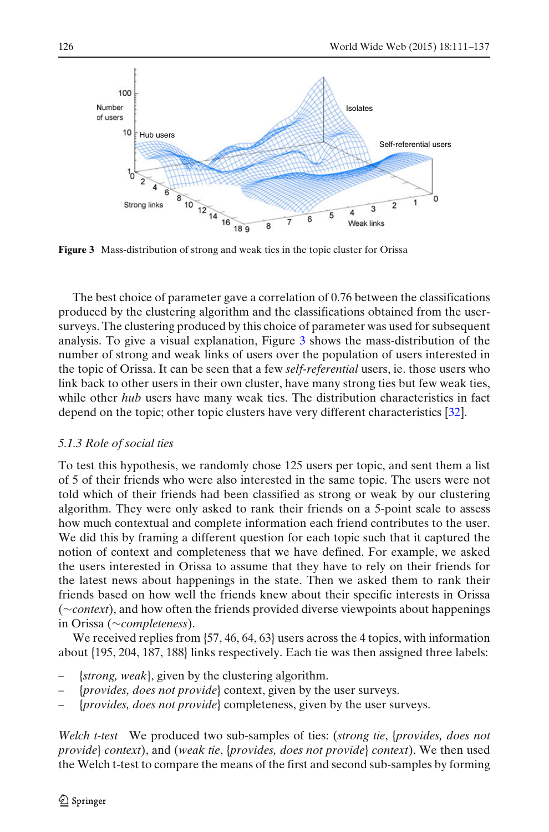

**Figure 3** Mass-distribution of strong and weak ties in the topic cluster for Orissa

The best choice of parameter gave a correlation of 0.76 between the classifications produced by the clustering algorithm and the classifications obtained from the usersurveys. The clustering produced by this choice of parameter was used for subsequent analysis. To give a visual explanation, Figure 3 shows the mass-distribution of the number of strong and weak links of users over the population of users interested in the topic of Orissa. It can be seen that a few *self-referential* users, ie. those users who link back to other users in their own cluster, have many strong ties but few weak ties, while other *hub* users have many weak ties. The distribution characteristics in fact depend on the topic; other topic clusters have very different characteristics [\[32\]](#page-26-0).

#### *5.1.3 Role of social ties*

To test this hypothesis, we randomly chose 125 users per topic, and sent them a list of 5 of their friends who were also interested in the same topic. The users were not told which of their friends had been classified as strong or weak by our clustering algorithm. They were only asked to rank their friends on a 5-point scale to assess how much contextual and complete information each friend contributes to the user. We did this by framing a different question for each topic such that it captured the notion of context and completeness that we have defined. For example, we asked the users interested in Orissa to assume that they have to rely on their friends for the latest news about happenings in the state. Then we asked them to rank their friends based on how well the friends knew about their specific interests in Orissa (∼*context*), and how often the friends provided diverse viewpoints about happenings in Orissa (∼*completeness*).

We received replies from  $\{57, 46, 64, 63\}$  users across the 4 topics, with information about {195, 204, 187, 188} links respectively. Each tie was then assigned three labels:

- {*strong, weak*}, given by the clustering algorithm.
- {*provides, does not provide*} context, given by the user surveys.
- {*provides, does not provide*} completeness, given by the user surveys.

*Welch t-test* We produced two sub-samples of ties: (*strong tie*, {*provides, does not provide*} *context*), and (*weak tie*, {*provides, does not provide*} *context*). We then used the Welch t-test to compare the means of the first and second sub-samples by forming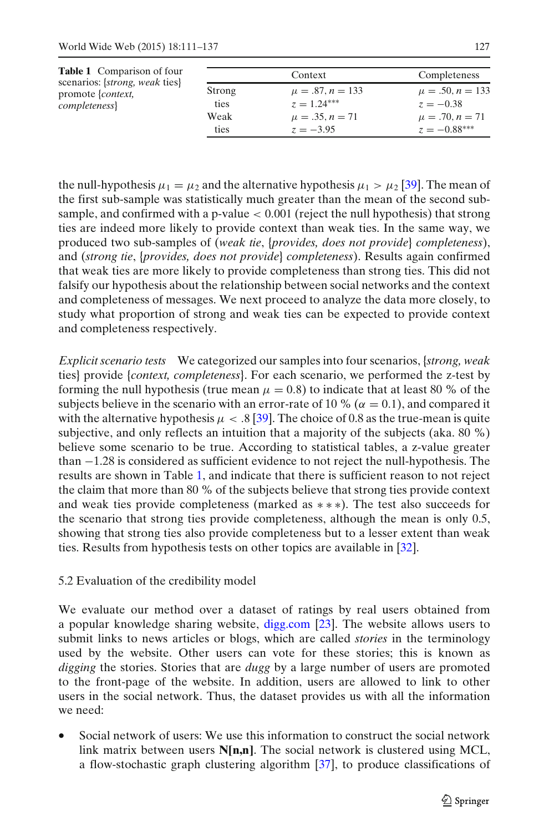| <b>Table 1</b> Comparison of four<br>scenarios: { <i>strong, weak ties</i> }<br>promote { <i>context</i> ,<br><i>completeness</i> |                | Context                               | Completeness                        |
|-----------------------------------------------------------------------------------------------------------------------------------|----------------|---------------------------------------|-------------------------------------|
|                                                                                                                                   | Strong<br>ties | $\mu = .87, n = 133$<br>$z = 1.24***$ | $\mu = .50, n = 133$<br>$z = -0.38$ |
|                                                                                                                                   | Weak           | $\mu = .35, n = 71$                   | $\mu = .70, n = 71$                 |
|                                                                                                                                   | ties           | $z = -3.95$                           | $z = -0.88***$                      |

the null-hypothesis  $\mu_1 = \mu_2$  and the alternative hypothesis  $\mu_1 > \mu_2$  [\[39\]](#page-26-0). The mean of the first sub-sample was statistically much greater than the mean of the second subsample, and confirmed with a p-value  $< 0.001$  (reject the null hypothesis) that strong ties are indeed more likely to provide context than weak ties. In the same way, we produced two sub-samples of (*weak tie*, {*provides, does not provide*} *completeness*), and (*strong tie*, {*provides, does not provide*} *completeness*). Results again confirmed that weak ties are more likely to provide completeness than strong ties. This did not falsify our hypothesis about the relationship between social networks and the context and completeness of messages. We next proceed to analyze the data more closely, to study what proportion of strong and weak ties can be expected to provide context and completeness respectively.

*Explicit scenario tests* We categorized our samples into four scenarios, {*strong, weak* ties} provide {*context, completeness*}. For each scenario, we performed the z-test by forming the null hypothesis (true mean  $\mu = 0.8$ ) to indicate that at least 80 % of the subjects believe in the scenario with an error-rate of 10 % ( $\alpha = 0.1$ ), and compared it with the alternative hypothesis  $\mu < .8$  [\[39\]](#page-26-0). The choice of 0.8 as the true-mean is quite subjective, and only reflects an intuition that a majority of the subjects (aka. 80 %) believe some scenario to be true. According to statistical tables, a z-value greater than −1.28 is considered as sufficient evidence to not reject the null-hypothesis. The results are shown in Table 1, and indicate that there is sufficient reason to not reject the claim that more than 80 % of the subjects believe that strong ties provide context and weak ties provide completeness (marked as ∗∗∗). The test also succeeds for the scenario that strong ties provide completeness, although the mean is only 0.5, showing that strong ties also provide completeness but to a lesser extent than weak ties. Results from hypothesis tests on other topics are available in [\[32](#page-26-0)].

### 5.2 Evaluation of the credibility model

We evaluate our method over a dataset of ratings by real users obtained from a popular knowledge sharing website, [digg.com](http://digg.com) [\[23](#page-26-0)]. The website allows users to submit links to news articles or blogs, which are called *stories* in the terminology used by the website. Other users can vote for these stories; this is known as *digging* the stories. Stories that are *dugg* by a large number of users are promoted to the front-page of the website. In addition, users are allowed to link to other users in the social network. Thus, the dataset provides us with all the information we need:

Social network of users: We use this information to construct the social network link matrix between users **N[n,n]**. The social network is clustered using MCL, a flow-stochastic graph clustering algorithm [\[37\]](#page-26-0), to produce classifications of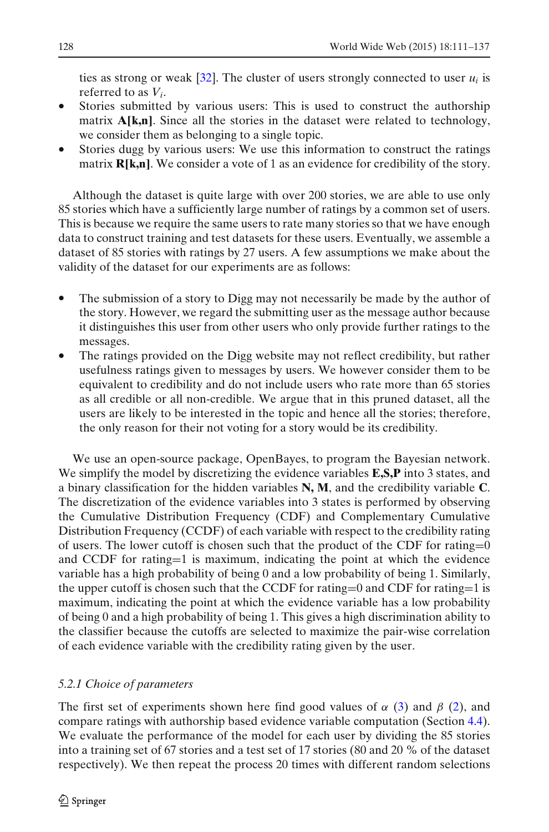ties as strong or weak [\[32\]](#page-26-0). The cluster of users strongly connected to user  $u_i$  is referred to as *Vi*.

- Stories submitted by various users: This is used to construct the authorship matrix  $A[k,n]$ . Since all the stories in the dataset were related to technology, we consider them as belonging to a single topic.
- Stories dugg by various users: We use this information to construct the ratings matrix  $R[k,n]$ . We consider a vote of 1 as an evidence for credibility of the story.

Although the dataset is quite large with over 200 stories, we are able to use only 85 stories which have a sufficiently large number of ratings by a common set of users. This is because we require the same users to rate many stories so that we have enough data to construct training and test datasets for these users. Eventually, we assemble a dataset of 85 stories with ratings by 27 users. A few assumptions we make about the validity of the dataset for our experiments are as follows:

- The submission of a story to Digg may not necessarily be made by the author of the story. However, we regard the submitting user as the message author because it distinguishes this user from other users who only provide further ratings to the messages.
- The ratings provided on the Digg website may not reflect credibility, but rather usefulness ratings given to messages by users. We however consider them to be equivalent to credibility and do not include users who rate more than 65 stories as all credible or all non-credible. We argue that in this pruned dataset, all the users are likely to be interested in the topic and hence all the stories; therefore, the only reason for their not voting for a story would be its credibility.

We use an open-source package, OpenBayes, to program the Bayesian network. We simplify the model by discretizing the evidence variables **E,S,P** into 3 states, and a binary classification for the hidden variables **N, M**, and the credibility variable **C**. The discretization of the evidence variables into 3 states is performed by observing the Cumulative Distribution Frequency (CDF) and Complementary Cumulative Distribution Frequency (CCDF) of each variable with respect to the credibility rating of users. The lower cutoff is chosen such that the product of the CDF for rating= $0$ and CCDF for rating=1 is maximum, indicating the point at which the evidence variable has a high probability of being 0 and a low probability of being 1. Similarly, the upper cutoff is chosen such that the CCDF for rating=0 and CDF for rating=1 is maximum, indicating the point at which the evidence variable has a low probability of being 0 and a high probability of being 1. This gives a high discrimination ability to the classifier because the cutoffs are selected to maximize the pair-wise correlation of each evidence variable with the credibility rating given by the user.

### *5.2.1 Choice of parameters*

The first set of experiments shown here find good values of  $\alpha$  [\(3\)](#page-10-0) and  $\beta$  [\(2\)](#page-10-0), and compare ratings with authorship based evidence variable computation (Section [4.4\)](#page-13-0). We evaluate the performance of the model for each user by dividing the 85 stories into a training set of 67 stories and a test set of 17 stories (80 and 20 % of the dataset respectively). We then repeat the process 20 times with different random selections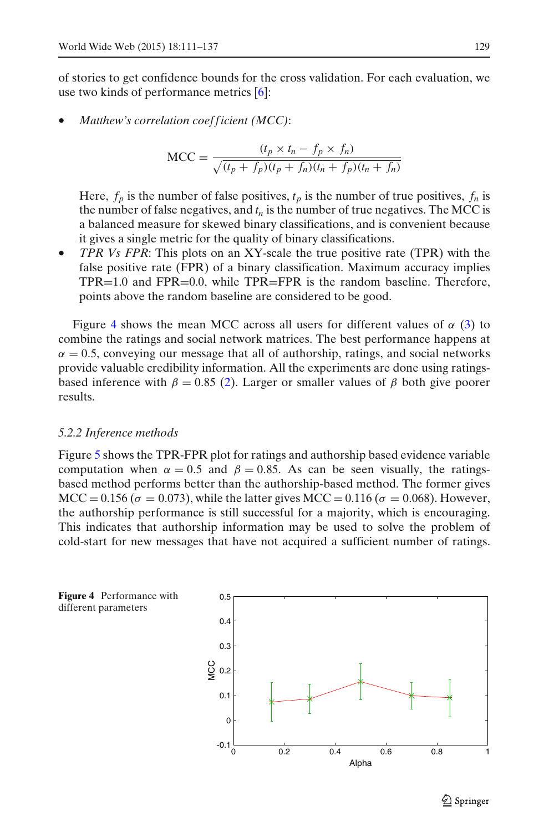of stories to get confidence bounds for the cross validation. For each evaluation, we use two kinds of performance metrics [\[6](#page-25-0)]:

• *Matthew's correlation coef f icient (MCC)*:

$$
MCC = \frac{(t_p \times t_n - f_p \times f_n)}{\sqrt{(t_p + f_p)(t_p + f_n)(t_n + f_p)(t_n + f_n)}}
$$

Here,  $f_p$  is the number of false positives,  $t_p$  is the number of true positives,  $f_n$  is the number of false negatives, and  $t_n$  is the number of true negatives. The MCC is a balanced measure for skewed binary classifications, and is convenient because it gives a single metric for the quality of binary classifications.

• *TPR Vs FPR*: This plots on an XY-scale the true positive rate (TPR) with the false positive rate (FPR) of a binary classification. Maximum accuracy implies  $TPR=1.0$  and  $FPR=0.0$ , while  $TPR=FPR$  is the random baseline. Therefore, points above the random baseline are considered to be good.

Figure 4 shows the mean MCC across all users for different values of  $\alpha$  [\(3\)](#page-10-0) to combine the ratings and social network matrices. The best performance happens at  $\alpha = 0.5$ , conveying our message that all of authorship, ratings, and social networks provide valuable credibility information. All the experiments are done using ratingsbased inference with  $\beta = 0.85$  [\(2\)](#page-10-0). Larger or smaller values of  $\beta$  both give poorer results.

#### *5.2.2 Inference methods*

Figure [5](#page-19-0) shows the TPR-FPR plot for ratings and authorship based evidence variable computation when  $\alpha = 0.5$  and  $\beta = 0.85$ . As can be seen visually, the ratingsbased method performs better than the authorship-based method. The former gives  $MCC = 0.156$  ( $\sigma = 0.073$ ), while the latter gives  $MCC = 0.116$  ( $\sigma = 0.068$ ). However, the authorship performance is still successful for a majority, which is encouraging. This indicates that authorship information may be used to solve the problem of cold-start for new messages that have not acquired a sufficient number of ratings.

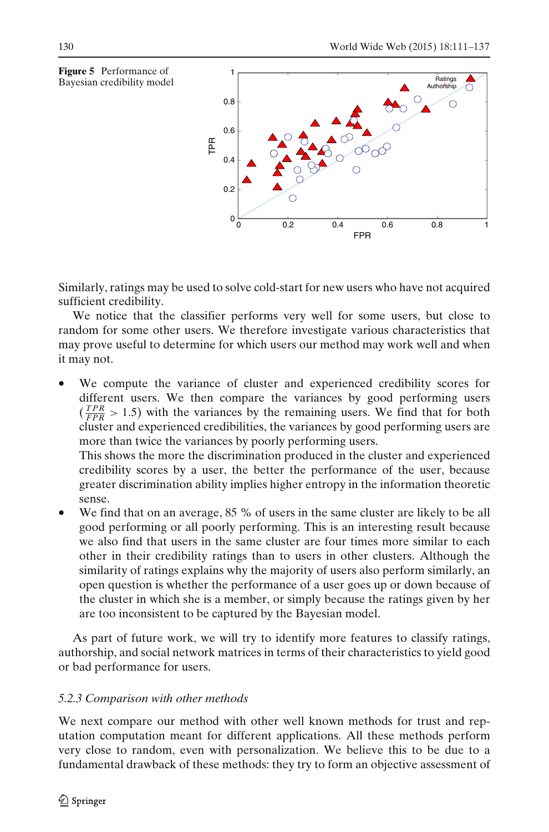

<span id="page-19-0"></span>**Figure 5** Performance of Bayesian credibility model

Similarly, ratings may be used to solve cold-start for new users who have not acquired sufficient credibility.

We notice that the classifier performs very well for some users, but close to random for some other users. We therefore investigate various characteristics that may prove useful to determine for which users our method may work well and when it may not.

We compute the variance of cluster and experienced credibility scores for different users. We then compare the variances by good performing users  $(\frac{TPR}{FPR} > 1.5)$  with the variances by the remaining users. We find that for both cluster and experienced credibilities, the variances by good performing users are more than twice the variances by poorly performing users.

This shows the more the discrimination produced in the cluster and experienced credibility scores by a user, the better the performance of the user, because greater discrimination ability implies higher entropy in the information theoretic sense.

We find that on an average, 85 % of users in the same cluster are likely to be all good performing or all poorly performing. This is an interesting result because we also find that users in the same cluster are four times more similar to each other in their credibility ratings than to users in other clusters. Although the similarity of ratings explains why the majority of users also perform similarly, an open question is whether the performance of a user goes up or down because of the cluster in which she is a member, or simply because the ratings given by her are too inconsistent to be captured by the Bayesian model.

As part of future work, we will try to identify more features to classify ratings, authorship, and social network matrices in terms of their characteristics to yield good or bad performance for users.

## *5.2.3 Comparison with other methods*

We next compare our method with other well known methods for trust and reputation computation meant for different applications. All these methods perform very close to random, even with personalization. We believe this to be due to a fundamental drawback of these methods: they try to form an objective assessment of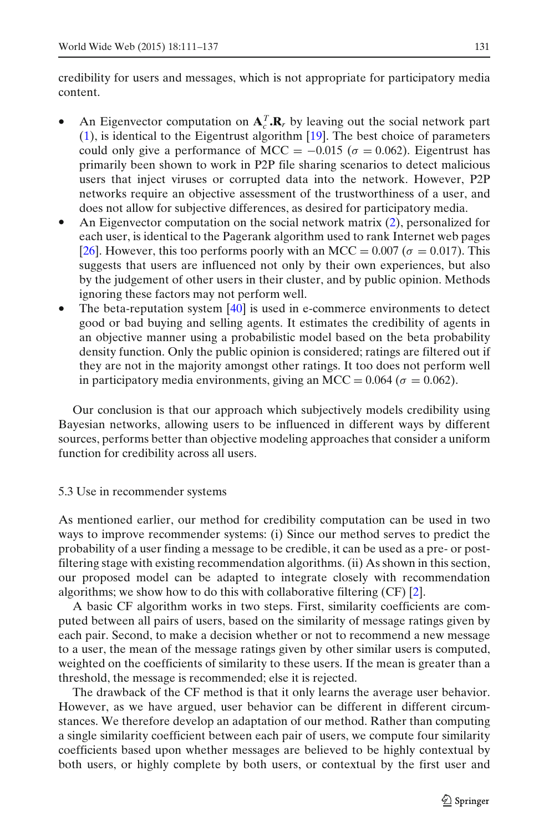credibility for users and messages, which is not appropriate for participatory media content.

- An Eigenvector computation on  $A_c^T \cdot R_r$  by leaving out the social network part [\(1\)](#page-10-0), is identical to the Eigentrust algorithm [\[19\]](#page-25-0). The best choice of parameters could only give a performance of MCC =  $-0.015$  ( $\sigma = 0.062$ ). Eigentrust has primarily been shown to work in P2P file sharing scenarios to detect malicious users that inject viruses or corrupted data into the network. However, P2P networks require an objective assessment of the trustworthiness of a user, and does not allow for subjective differences, as desired for participatory media.
- An Eigenvector computation on the social network matrix [\(2\)](#page-10-0), personalized for each user, is identical to the Pagerank algorithm used to rank Internet web pages [\[26](#page-26-0)]. However, this too performs poorly with an MCC =  $0.007$  ( $\sigma = 0.017$ ). This suggests that users are influenced not only by their own experiences, but also by the judgement of other users in their cluster, and by public opinion. Methods ignoring these factors may not perform well.
- The beta-reputation system  $[40]$  is used in e-commerce environments to detect good or bad buying and selling agents. It estimates the credibility of agents in an objective manner using a probabilistic model based on the beta probability density function. Only the public opinion is considered; ratings are filtered out if they are not in the majority amongst other ratings. It too does not perform well in participatory media environments, giving an MCC =  $0.064$  ( $\sigma = 0.062$ ).

Our conclusion is that our approach which subjectively models credibility using Bayesian networks, allowing users to be influenced in different ways by different sources, performs better than objective modeling approaches that consider a uniform function for credibility across all users.

### 5.3 Use in recommender systems

As mentioned earlier, our method for credibility computation can be used in two ways to improve recommender systems: (i) Since our method serves to predict the probability of a user finding a message to be credible, it can be used as a pre- or postfiltering stage with existing recommendation algorithms. (ii) As shown in this section, our proposed model can be adapted to integrate closely with recommendation algorithms; we show how to do this with collaborative filtering (CF) [\[2\]](#page-25-0).

A basic CF algorithm works in two steps. First, similarity coefficients are computed between all pairs of users, based on the similarity of message ratings given by each pair. Second, to make a decision whether or not to recommend a new message to a user, the mean of the message ratings given by other similar users is computed, weighted on the coefficients of similarity to these users. If the mean is greater than a threshold, the message is recommended; else it is rejected.

The drawback of the CF method is that it only learns the average user behavior. However, as we have argued, user behavior can be different in different circumstances. We therefore develop an adaptation of our method. Rather than computing a single similarity coefficient between each pair of users, we compute four similarity coefficients based upon whether messages are believed to be highly contextual by both users, or highly complete by both users, or contextual by the first user and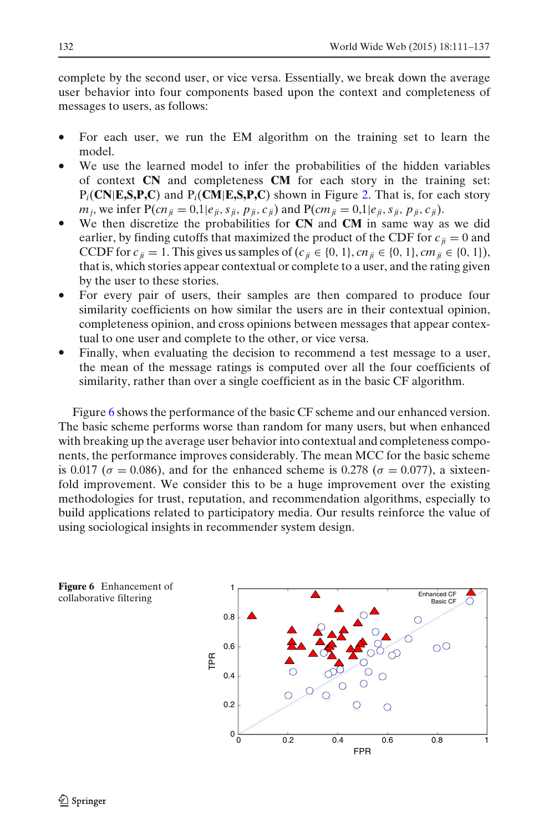complete by the second user, or vice versa. Essentially, we break down the average user behavior into four components based upon the context and completeness of messages to users, as follows:

- For each user, we run the EM algorithm on the training set to learn the model.
- We use the learned model to infer the probabilities of the hidden variables of context **CN** and completeness **CM** for each story in the training set:  $P_i(\text{CN}|E,S,P,C)$  and  $P_i(\text{CM}|E,S,P,C)$  shown in Figure [2.](#page-6-0) That is, for each story  $m_i$ , we infer  $P(cn_{ii} = 0,1|e_{ii}, s_{ii}, p_{ii}, c_{ii})$  and  $P(cm_{ii} = 0,1|e_{ii}, s_{ii}, p_{ii}, c_{ii})$ .
- We then discretize the probabilities for **CN** and **CM** in same way as we did earlier, by finding cutoffs that maximized the product of the CDF for  $c_{ii} = 0$  and CCDF for *c*<sub>*ji*</sub> = 1. This gives us samples of (*c*<sub>*ji*</sub> ∈ {0, 1}, *cn*<sub>*ji*</sub> ∈ {0, 1}, *cm*<sub>*ji*</sub> ∈ {0, 1}), that is, which stories appear contextual or complete to a user, and the rating given by the user to these stories.
- For every pair of users, their samples are then compared to produce four similarity coefficients on how similar the users are in their contextual opinion, completeness opinion, and cross opinions between messages that appear contextual to one user and complete to the other, or vice versa.
- Finally, when evaluating the decision to recommend a test message to a user, the mean of the message ratings is computed over all the four coefficients of similarity, rather than over a single coefficient as in the basic CF algorithm.

Figure 6 shows the performance of the basic CF scheme and our enhanced version. The basic scheme performs worse than random for many users, but when enhanced with breaking up the average user behavior into contextual and completeness components, the performance improves considerably. The mean MCC for the basic scheme is 0.017 ( $\sigma = 0.086$ ), and for the enhanced scheme is 0.278 ( $\sigma = 0.077$ ), a sixteenfold improvement. We consider this to be a huge improvement over the existing methodologies for trust, reputation, and recommendation algorithms, especially to build applications related to participatory media. Our results reinforce the value of using sociological insights in recommender system design.

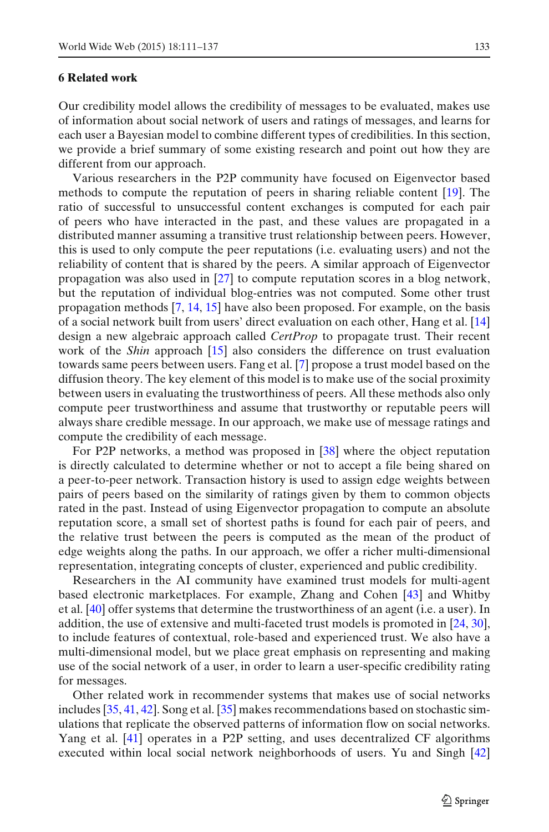### <span id="page-22-0"></span>**6 Related work**

Our credibility model allows the credibility of messages to be evaluated, makes use of information about social network of users and ratings of messages, and learns for each user a Bayesian model to combine different types of credibilities. In this section, we provide a brief summary of some existing research and point out how they are different from our approach.

Various researchers in the P2P community have focused on Eigenvector based methods to compute the reputation of peers in sharing reliable content [\[19](#page-25-0)]. The ratio of successful to unsuccessful content exchanges is computed for each pair of peers who have interacted in the past, and these values are propagated in a distributed manner assuming a transitive trust relationship between peers. However, this is used to only compute the peer reputations (i.e. evaluating users) and not the reliability of content that is shared by the peers. A similar approach of Eigenvector propagation was also used in [\[27\]](#page-26-0) to compute reputation scores in a blog network, but the reputation of individual blog-entries was not computed. Some other trust propagation methods [\[7](#page-25-0), [14,](#page-25-0) [15](#page-25-0)] have also been proposed. For example, on the basis of a social network built from users' direct evaluation on each other, Hang et al. [\[14](#page-25-0)] design a new algebraic approach called *CertProp* to propagate trust. Their recent work of the *Shin* approach [\[15](#page-25-0)] also considers the difference on trust evaluation towards same peers between users. Fang et al. [\[7](#page-25-0)] propose a trust model based on the diffusion theory. The key element of this model is to make use of the social proximity between users in evaluating the trustworthiness of peers. All these methods also only compute peer trustworthiness and assume that trustworthy or reputable peers will always share credible message. In our approach, we make use of message ratings and compute the credibility of each message.

For P2P networks, a method was proposed in [\[38](#page-26-0)] where the object reputation is directly calculated to determine whether or not to accept a file being shared on a peer-to-peer network. Transaction history is used to assign edge weights between pairs of peers based on the similarity of ratings given by them to common objects rated in the past. Instead of using Eigenvector propagation to compute an absolute reputation score, a small set of shortest paths is found for each pair of peers, and the relative trust between the peers is computed as the mean of the product of edge weights along the paths. In our approach, we offer a richer multi-dimensional representation, integrating concepts of cluster, experienced and public credibility.

Researchers in the AI community have examined trust models for multi-agent based electronic marketplaces. For example, Zhang and Cohen [\[43](#page-26-0)] and Whitby et al. [\[40](#page-26-0)] offer systems that determine the trustworthiness of an agent (i.e. a user). In addition, the use of extensive and multi-faceted trust models is promoted in [\[24,](#page-26-0) [30](#page-26-0)], to include features of contextual, role-based and experienced trust. We also have a multi-dimensional model, but we place great emphasis on representing and making use of the social network of a user, in order to learn a user-specific credibility rating for messages.

Other related work in recommender systems that makes use of social networks includes [\[35](#page-26-0), [41,](#page-26-0) [42](#page-26-0)]. Song et al. [\[35](#page-26-0)] makes recommendations based on stochastic simulations that replicate the observed patterns of information flow on social networks. Yang et al. [\[41](#page-26-0)] operates in a P2P setting, and uses decentralized CF algorithms executed within local social network neighborhoods of users. Yu and Singh [\[42](#page-26-0)]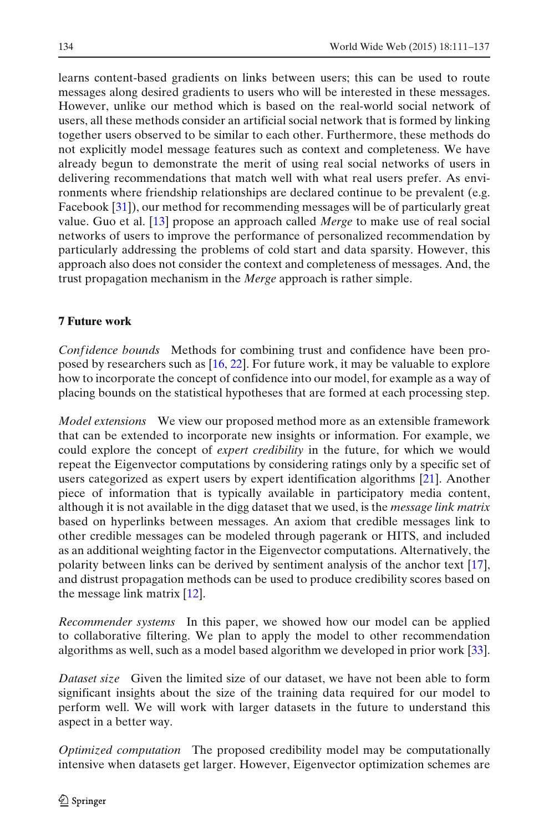<span id="page-23-0"></span>learns content-based gradients on links between users; this can be used to route messages along desired gradients to users who will be interested in these messages. However, unlike our method which is based on the real-world social network of users, all these methods consider an artificial social network that is formed by linking together users observed to be similar to each other. Furthermore, these methods do not explicitly model message features such as context and completeness. We have already begun to demonstrate the merit of using real social networks of users in delivering recommendations that match well with what real users prefer. As environments where friendship relationships are declared continue to be prevalent (e.g. Facebook [\[31](#page-26-0)]), our method for recommending messages will be of particularly great value. Guo et al. [\[13](#page-25-0)] propose an approach called *Merge* to make use of real social networks of users to improve the performance of personalized recommendation by particularly addressing the problems of cold start and data sparsity. However, this approach also does not consider the context and completeness of messages. And, the trust propagation mechanism in the *Merge* approach is rather simple.

## **7 Future work**

*Conf idence bounds* Methods for combining trust and confidence have been proposed by researchers such as [\[16,](#page-25-0) [22](#page-26-0)]. For future work, it may be valuable to explore how to incorporate the concept of confidence into our model, for example as a way of placing bounds on the statistical hypotheses that are formed at each processing step.

*Model extensions* We view our proposed method more as an extensible framework that can be extended to incorporate new insights or information. For example, we could explore the concept of *expert credibility* in the future, for which we would repeat the Eigenvector computations by considering ratings only by a specific set of users categorized as expert users by expert identification algorithms [\[21](#page-26-0)]. Another piece of information that is typically available in participatory media content, although it is not available in the digg dataset that we used, is the *message link matrix* based on hyperlinks between messages. An axiom that credible messages link to other credible messages can be modeled through pagerank or HITS, and included as an additional weighting factor in the Eigenvector computations. Alternatively, the polarity between links can be derived by sentiment analysis of the anchor text [\[17](#page-25-0)], and distrust propagation methods can be used to produce credibility scores based on the message link matrix [\[12](#page-25-0)].

*Recommender systems* In this paper, we showed how our model can be applied to collaborative filtering. We plan to apply the model to other recommendation algorithms as well, such as a model based algorithm we developed in prior work [\[33](#page-26-0)].

*Dataset size* Given the limited size of our dataset, we have not been able to form significant insights about the size of the training data required for our model to perform well. We will work with larger datasets in the future to understand this aspect in a better way.

*Optimized computation* The proposed credibility model may be computationally intensive when datasets get larger. However, Eigenvector optimization schemes are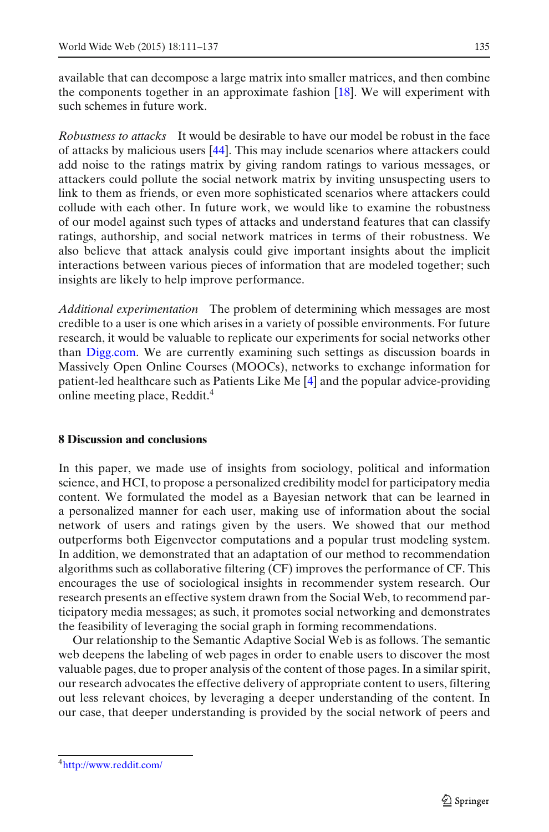<span id="page-24-0"></span>available that can decompose a large matrix into smaller matrices, and then combine the components together in an approximate fashion [\[18](#page-25-0)]. We will experiment with such schemes in future work.

*Robustness to attacks* It would be desirable to have our model be robust in the face of attacks by malicious users [\[44](#page-26-0)]. This may include scenarios where attackers could add noise to the ratings matrix by giving random ratings to various messages, or attackers could pollute the social network matrix by inviting unsuspecting users to link to them as friends, or even more sophisticated scenarios where attackers could collude with each other. In future work, we would like to examine the robustness of our model against such types of attacks and understand features that can classify ratings, authorship, and social network matrices in terms of their robustness. We also believe that attack analysis could give important insights about the implicit interactions between various pieces of information that are modeled together; such insights are likely to help improve performance.

*Additional experimentation* The problem of determining which messages are most credible to a user is one which arises in a variety of possible environments. For future research, it would be valuable to replicate our experiments for social networks other than [Digg.com.](http://Digg.com) We are currently examining such settings as discussion boards in Massively Open Online Courses (MOOCs), networks to exchange information for patient-led healthcare such as Patients Like Me [\[4\]](#page-25-0) and the popular advice-providing online meeting place, Reddit.<sup>4</sup>

### **8 Discussion and conclusions**

In this paper, we made use of insights from sociology, political and information science, and HCI, to propose a personalized credibility model for participatory media content. We formulated the model as a Bayesian network that can be learned in a personalized manner for each user, making use of information about the social network of users and ratings given by the users. We showed that our method outperforms both Eigenvector computations and a popular trust modeling system. In addition, we demonstrated that an adaptation of our method to recommendation algorithms such as collaborative filtering (CF) improves the performance of CF. This encourages the use of sociological insights in recommender system research. Our research presents an effective system drawn from the Social Web, to recommend participatory media messages; as such, it promotes social networking and demonstrates the feasibility of leveraging the social graph in forming recommendations.

Our relationship to the Semantic Adaptive Social Web is as follows. The semantic web deepens the labeling of web pages in order to enable users to discover the most valuable pages, due to proper analysis of the content of those pages. In a similar spirit, our research advocates the effective delivery of appropriate content to users, filtering out less relevant choices, by leveraging a deeper understanding of the content. In our case, that deeper understanding is provided by the social network of peers and

[<sup>4</sup>http://www.reddit.com/](http://www.reddit.com/)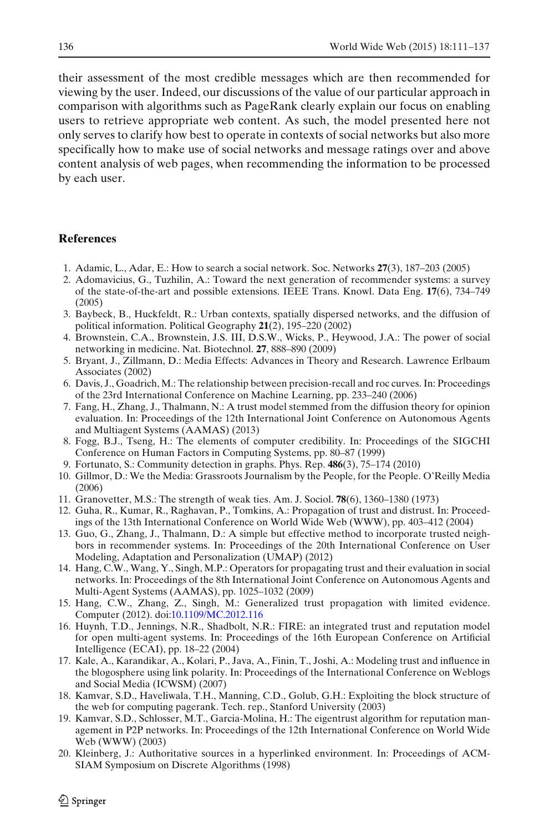<span id="page-25-0"></span>their assessment of the most credible messages which are then recommended for viewing by the user. Indeed, our discussions of the value of our particular approach in comparison with algorithms such as PageRank clearly explain our focus on enabling users to retrieve appropriate web content. As such, the model presented here not only serves to clarify how best to operate in contexts of social networks but also more specifically how to make use of social networks and message ratings over and above content analysis of web pages, when recommending the information to be processed by each user.

### **References**

- 1. Adamic, L., Adar, E.: How to search a social network. Soc. Networks **27**(3), 187–203 (2005)
- 2. Adomavicius, G., Tuzhilin, A.: Toward the next generation of recommender systems: a survey of the state-of-the-art and possible extensions. IEEE Trans. Knowl. Data Eng. **17**(6), 734–749 (2005)
- 3. Baybeck, B., Huckfeldt, R.: Urban contexts, spatially dispersed networks, and the diffusion of political information. Political Geography **21**(2), 195–220 (2002)
- 4. Brownstein, C.A., Brownstein, J.S. III, D.S.W., Wicks, P., Heywood, J.A.: The power of social networking in medicine. Nat. Biotechnol. **27**, 888–890 (2009)
- 5. Bryant, J., Zillmann, D.: Media Effects: Advances in Theory and Research. Lawrence Erlbaum Associates (2002)
- 6. Davis, J., Goadrich, M.: The relationship between precision-recall and roc curves. In: Proceedings of the 23rd International Conference on Machine Learning, pp. 233–240 (2006)
- 7. Fang, H., Zhang, J., Thalmann, N.: A trust model stemmed from the diffusion theory for opinion evaluation. In: Proceedings of the 12th International Joint Conference on Autonomous Agents and Multiagent Systems (AAMAS) (2013)
- 8. Fogg, B.J., Tseng, H.: The elements of computer credibility. In: Proceedings of the SIGCHI Conference on Human Factors in Computing Systems, pp. 80–87 (1999)
- 9. Fortunato, S.: Community detection in graphs. Phys. Rep. **486**(3), 75–174 (2010)
- 10. Gillmor, D.: We the Media: Grassroots Journalism by the People, for the People. O'Reilly Media (2006)
- 11. Granovetter, M.S.: The strength of weak ties. Am. J. Sociol. **78**(6), 1360–1380 (1973)
- 12. Guha, R., Kumar, R., Raghavan, P., Tomkins, A.: Propagation of trust and distrust. In: Proceedings of the 13th International Conference on World Wide Web (WWW), pp. 403–412 (2004)
- 13. Guo, G., Zhang, J., Thalmann, D.: A simple but effective method to incorporate trusted neighbors in recommender systems. In: Proceedings of the 20th International Conference on User Modeling, Adaptation and Personalization (UMAP) (2012)
- 14. Hang, C.W., Wang, Y., Singh, M.P.: Operators for propagating trust and their evaluation in social networks. In: Proceedings of the 8th International Joint Conference on Autonomous Agents and Multi-Agent Systems (AAMAS), pp. 1025–1032 (2009)
- 15. Hang, C.W., Zhang, Z., Singh, M.: Generalized trust propagation with limited evidence. Computer (2012). doi[:10.1109/MC.2012.116](http://doi.ieeecomputersociety.org/10.1109/MC.2012.116)
- 16. Huynh, T.D., Jennings, N.R., Shadbolt, N.R.: FIRE: an integrated trust and reputation model for open multi-agent systems. In: Proceedings of the 16th European Conference on Artificial Intelligence (ECAI), pp. 18–22 (2004)
- 17. Kale, A., Karandikar, A., Kolari, P., Java, A., Finin, T., Joshi, A.: Modeling trust and influence in the blogosphere using link polarity. In: Proceedings of the International Conference on Weblogs and Social Media (ICWSM) (2007)
- 18. Kamvar, S.D., Haveliwala, T.H., Manning, C.D., Golub, G.H.: Exploiting the block structure of the web for computing pagerank. Tech. rep., Stanford University (2003)
- 19. Kamvar, S.D., Schlosser, M.T., Garcia-Molina, H.: The eigentrust algorithm for reputation management in P2P networks. In: Proceedings of the 12th International Conference on World Wide Web (WWW) (2003)
- 20. Kleinberg, J.: Authoritative sources in a hyperlinked environment. In: Proceedings of ACM-SIAM Symposium on Discrete Algorithms (1998)